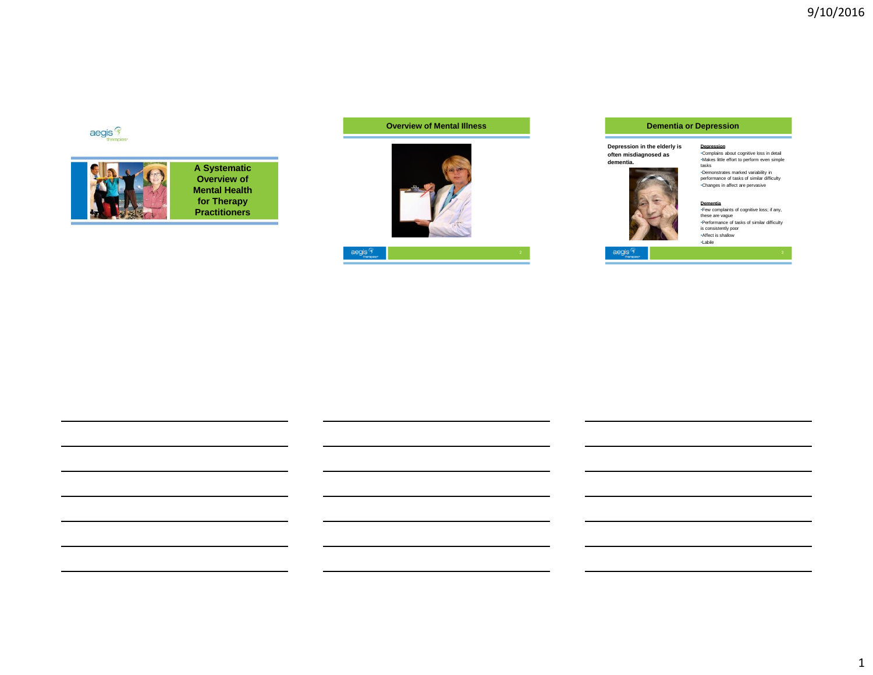## aegis<sup>9</sup>



**A Systematic Overview of Mental Health for Therapy Practitioners**

### **Overview of Mental Illness**





### **Dementia or Depression**

**Depression**

**Depression in the elderly is often misdiagnosed as dementia.**





**Dementia** •Few complaints of cognitive loss; if any, these are vague •Performance of tasks of similar difficulty is consistently poor •Affect is shallow •Labile

 $\mathsf{aegis} \mathsf{F}_{\text{thence}}$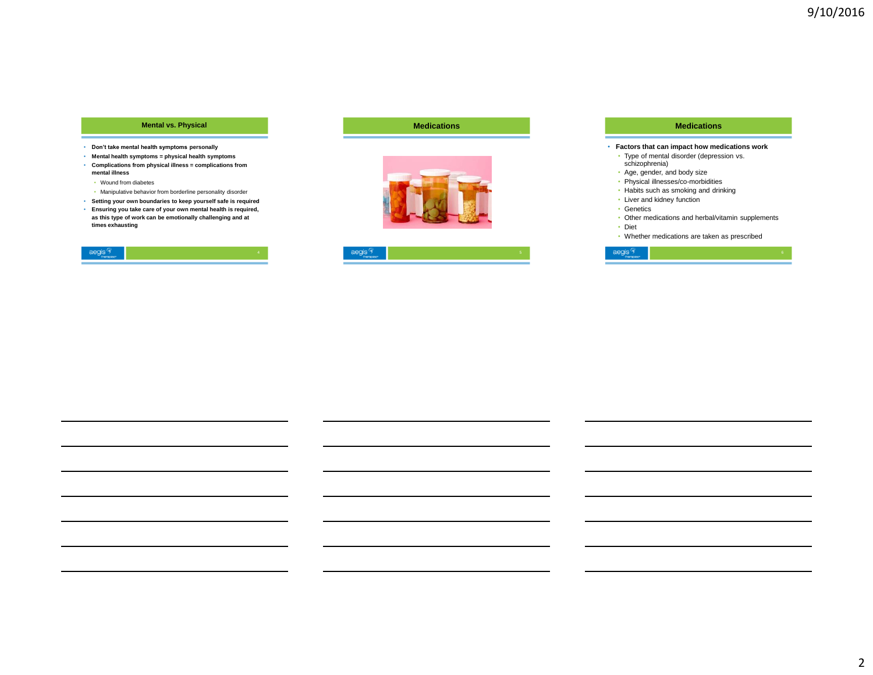### **Mental vs. Physical**

- **Don't take mental health symptoms personally**
- **Mental health symptoms = physical health symptoms** • **Complications from physical illness = complications from mental illness**
	- Wound from diabetes
	- Manipulative behavior from borderline personality disorder
- **Setting your own boundaries to keep yourself safe is required**
- **Ensuring you take care of your own mental health is required, as this type of work can be emotionally challenging and at times exhausting**

|--|--|--|--|

### **Medications**





#### **Medications**

### • **Factors that can impact how medications work**

- Type of mental disorder (depression vs. schizophrenia)
- Age, gender, and body size
- Physical illnesses/co-morbidities
- Habits such as smoking and drinking
- Liver and kidney function
- Genetics
- Other medications and herbal/vitamin supplements
- Diet
- Whether medications are taken as prescribed

 $\text{aegis} \mathcal{F}$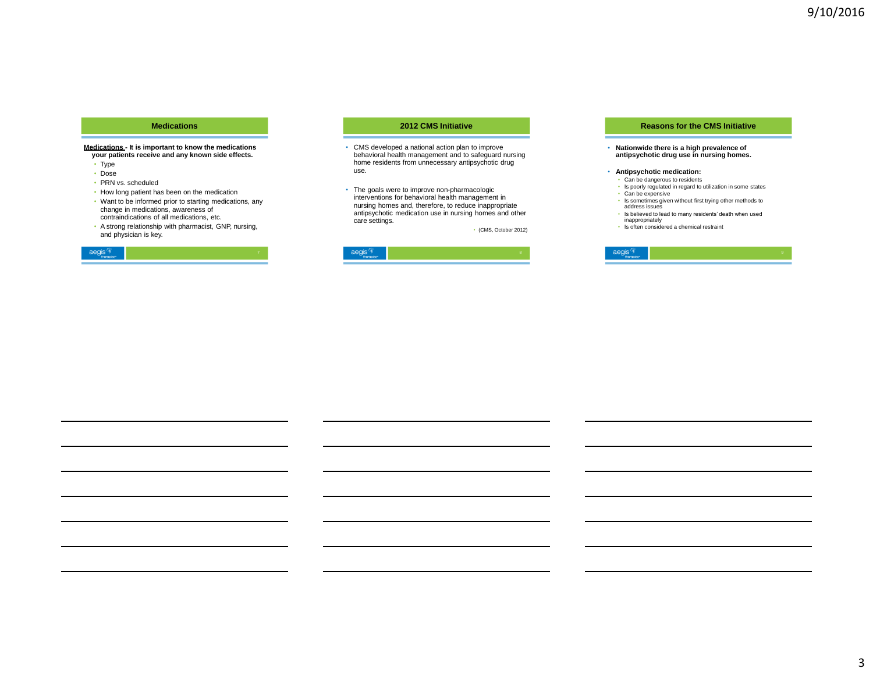### **Medications**

**Medications - It is important to know the medications your patients receive and any known side effects.**

- Type
- Dose
- PRN vs. scheduled
- How long patient has been on the medication
- Want to be informed prior to starting medications, any change in medications, awareness of contraindications of all medications, etc.
- A strong relationship with pharmacist, GNP, nursing, and physician is key.

|  | <b>PACIE</b> |  |  |
|--|--------------|--|--|
|--|--------------|--|--|

### **2012 CMS Initiative**

- CMS developed a national action plan to improve behavioral health management and to safeguard nursing home residents from unnecessary antipsychotic drug use.
- The goals were to improve non-pharmacologic interventions for behavioral health management in nursing homes and, therefore, to reduce inappropriate antipsychotic medication use in nursing homes and other care settings.

• (CMS, October 2012)



#### **Reasons for the CMS Initiative**

• **Nationwide there is a high prevalence of antipsychotic drug use in nursing homes.**

#### • **Antipsychotic medication:**

- Can be dangerous to residents
- Is poorly regulated in regard to utilization in some states • Can be expensive
- Is sometimes given without first trying other methods to address issues
- Is believed to lead to many residents' death when used inappropriately
- Is often considered a chemical restraint

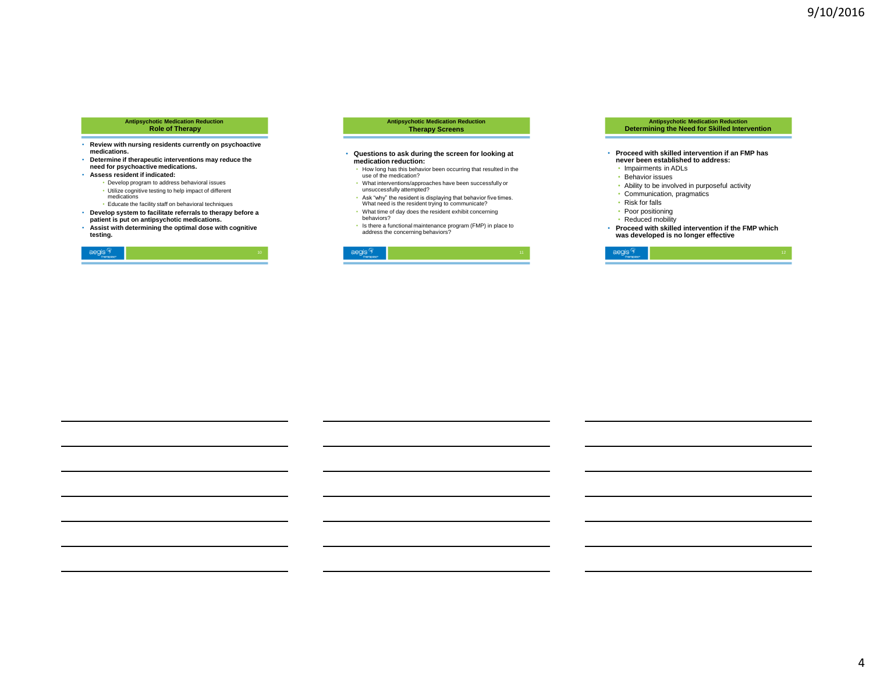## **Antipsychotic Medication Reduction Role of Therapy**

- **Review with nursing residents currently on psychoactive medications.**
- **Determine if therapeutic interventions may reduce the need for psychoactive medications.**
- **Assess resident if indicated:**
	- Develop program to address behavioral issues
	- Utilize cognitive testing to help impact of different
	- medications
	- Educate the facility staff on behavioral techniques
- **Develop system to facilitate referrals to therapy before a patient is put on antipsychotic medications.**
- **Assist with determining the optimal dose with cognitive testing.**

| <b>Property of the Company</b> |
|--------------------------------|
|--------------------------------|

#### **Antipsychotic Medication Reduction Therapy Screens**

#### • **Questions to ask during the screen for looking at medication reduction:**

- How long has this behavior been occurring that resulted in the use of the medication?
- What interventions/approaches have been successfully or unsuccessfully attempted?
- Ask "why" the resident is displaying that behavior five times. What need is the resident trying to communicate?
- What time of day does the resident exhibit concerning behaviors?
- Is there a functional maintenance program (FMP) in place to address the concerning behaviors?



## **Antipsychotic Medication Reduction Determining the Need for Skilled Intervention**

- **Proceed with skilled intervention if an FMP has never been established to address:**
	- Impairments in ADLs
- Behavior issues
- Ability to be involved in purposeful activity
- Communication, pragmatics
- Risk for falls
- Poor positioning
- Reduced mobility
- **Proceed with skilled intervention if the FMP which was developed is no longer effective**

|--|--|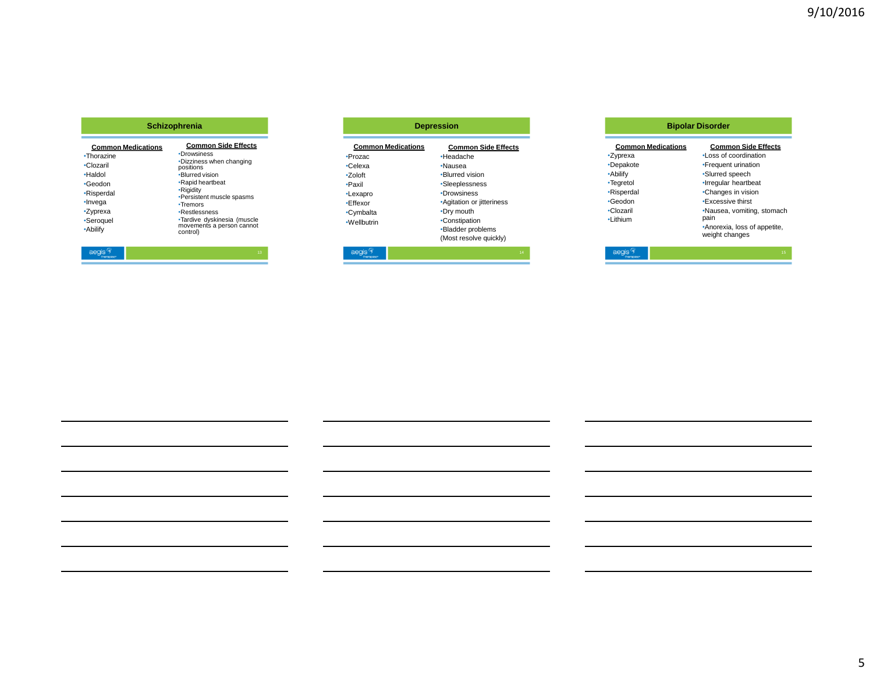### **Schizophrenia**

| •Thorazine<br>•Clozaril<br>·Haldol<br>•Geodon<br>•Risperdal<br>·Invega<br>•Zyprexa<br>•Seroquel<br>•Abilify | <b>Common Medications</b> | <b>Common Side Effects</b><br>•Drowsiness<br>•Dizziness when changing<br>positions<br>•Blurred vision<br>•Rapid heartbeat<br>•Rigidity<br>•Persistent muscle spasms<br>•Tremors<br><b>·Restlessness</b><br><b>·Tardive dyskinesia (muscle</b><br>movements a person cannot<br>control) |
|-------------------------------------------------------------------------------------------------------------|---------------------------|----------------------------------------------------------------------------------------------------------------------------------------------------------------------------------------------------------------------------------------------------------------------------------------|
| aprile                                                                                                      |                           | $\sim$                                                                                                                                                                                                                                                                                 |

. .

| <b>Depression</b>                                                                                                        |                                                                                                                                                                                                                         |  |
|--------------------------------------------------------------------------------------------------------------------------|-------------------------------------------------------------------------------------------------------------------------------------------------------------------------------------------------------------------------|--|
| <b>Common Medications</b><br>•Prozac<br>•Celexa<br>•Zoloft<br>•Paxil<br>•Lexapro<br>•Effexor<br>•Cymbalta<br>•Wellbutrin | <b>Common Side Effects</b><br>•Headache<br>•Nausea<br><b>Blurred vision</b><br>•Sleeplessness<br>•Drowsiness<br>•Agitation or jitteriness<br>•Dry mouth<br>•Constipation<br>•Bladder problems<br>(Most resolve quickly) |  |
|                                                                                                                          | 14                                                                                                                                                                                                                      |  |

|                                                                                                                               | <b>Bipolar Disorder</b>                                                                                                                                                                                                                                    |
|-------------------------------------------------------------------------------------------------------------------------------|------------------------------------------------------------------------------------------------------------------------------------------------------------------------------------------------------------------------------------------------------------|
| <b>Common Medications</b><br>•Zyprexa<br>•Depakote<br>•Abilify<br>•Tegretol<br>•Risperdal<br>•Geodon<br>•Clozaril<br>•Lithium | <b>Common Side Effects</b><br>. Loss of coordination<br>•Frequent urination<br>•Slurred speech<br>.Irregular heartbeat<br>•Changes in vision<br>• Excessive thirst<br>•Nausea, vomiting, stomach<br>pain<br>•Anorexia, loss of appetite,<br>weight changes |
| aec                                                                                                                           | 15                                                                                                                                                                                                                                                         |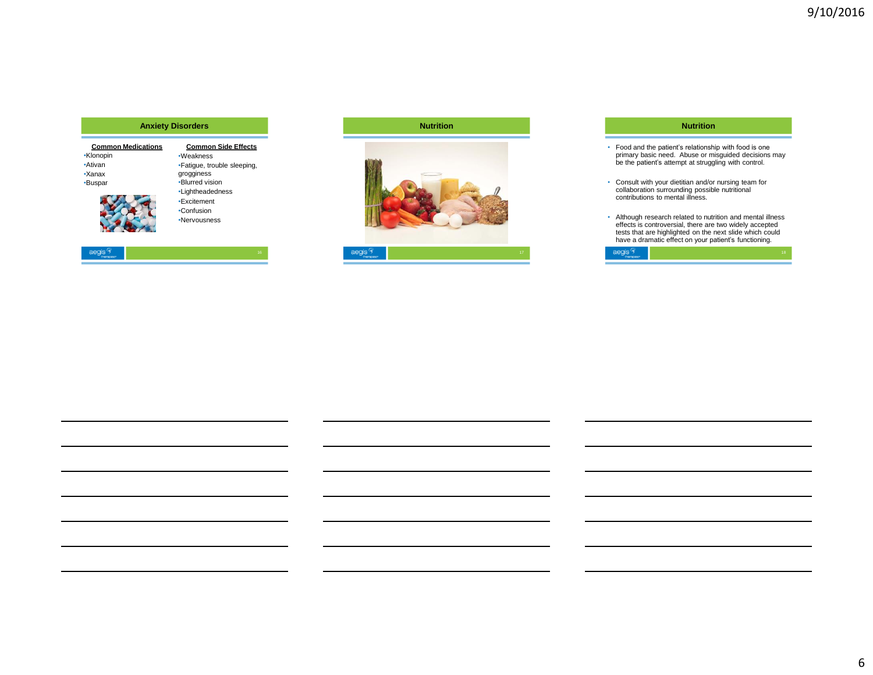### **Anxiety Disorders**

| <b>Common Medications</b> |
|---------------------------|
| •Klonopin                 |
| <b>Ativan</b>             |
| $\cdot$ Xanax             |
| <b>Buspar</b>             |
|                           |

 $\text{aegis} \frac{1}{2}$ 

| <b>Common Side Effects</b>                |
|-------------------------------------------|
| •Weakness                                 |
| •Fatique, trouble sleeping,<br>grogginess |
| .Blurred vision                           |
| •Lightheadedness                          |
| • Fxcitement                              |
| •Confusion                                |
| •Nervousness                              |

### **Nutrition**



# aegis<sup>4</sup>

### **Nutrition**

- Food and the patient's relationship with food is one primary basic need. Abuse or misguided decisions may be the patient's attempt at struggling with control.
- Consult with your dietitian and/or nursing team for collaboration surrounding possible nutritional contributions to mental illness.
- Although research related to nutrition and mental illness<br>effects is controversial, there are two widely accepted<br>tests that are highlighted on the next slide which could<br>have a dramatic effect on your patient's function

| aegis<br>therapies* |  |
|---------------------|--|
|                     |  |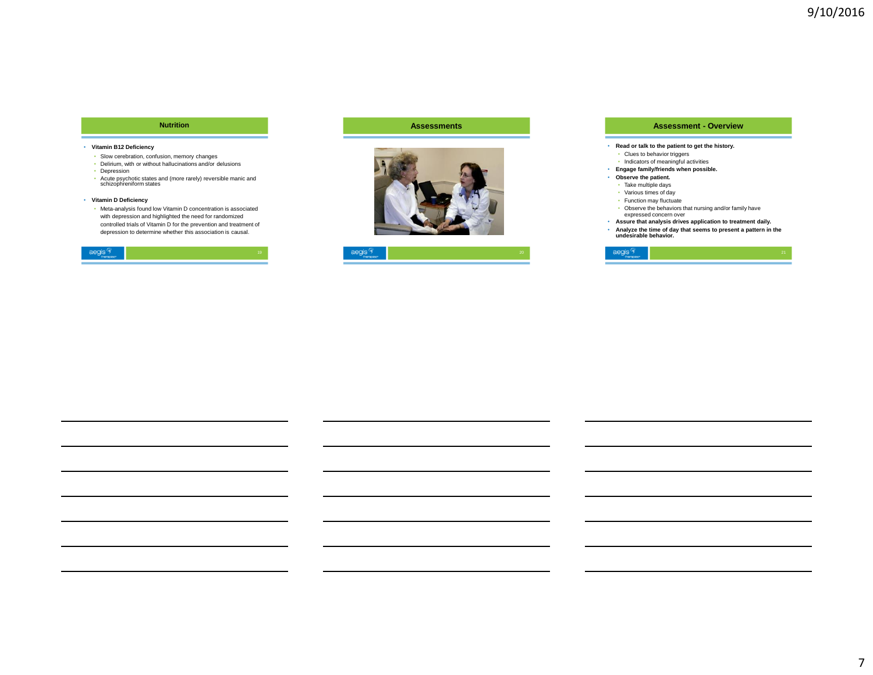### **Nutrition**

#### • **Vitamin B12 Deficiency**

- Slow cerebration, confusion, memory changes
- Delirium, with or without hallucinations and/or delusions • Depression
- Acute psychotic states and (more rarely) reversible manic and schizophreniform states

#### • **Vitamin D Deficiency**

• Meta-analysis found low Vitamin D concentration is associated with depression and highlighted the need for randomized controlled trials of Vitamin D for the prevention and treatment of depression to determine whether this association is causal.

| <b>Service Control</b><br>oor<br>. . | 19 |
|--------------------------------------|----|
|                                      |    |

### **Assessments**





#### **Assessment - Overview**

#### • **Read or talk to the patient to get the history.**

- Clues to behavior triggers
- Indicators of meaningful activities
- **Engage family/friends when possible.**
- **Observe the patient.**
	- Take multiple days
	- Various times of day
	- Function may fluctuate
- Observe the behaviors that nursing and/or family have expressed concern over
- **Assure that analysis drives application to treatment daily.**
- **Analyze the time of day that seems to present a pattern in the undesirable behavior.**

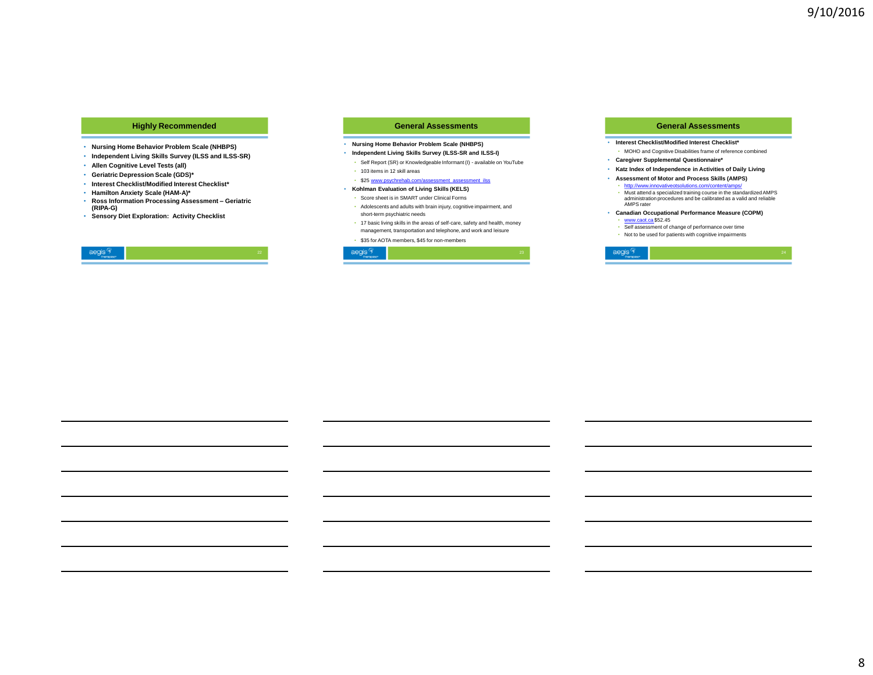### **Highly Recommended**

- **Nursing Home Behavior Problem Scale (NHBPS)**
- **Independent Living Skills Survey (ILSS and ILSS-SR)**
- **Allen Cognitive Level Tests (all)**
- **Geriatric Depression Scale (GDS)\***
- **Interest Checklist/Modified Interest Checklist\***
- **Hamilton Anxiety Scale (HAM-A)\***
- **Ross Information Processing Assessment – Geriatric (RIPA-G)**
- **Sensory Diet Exploration: Activity Checklist**

#### **General Assessments**

- **Nursing Home Behavior Problem Scale (NHBPS)**
- **Independent Living Skills Survey (ILSS-SR and ILSS-I)** • Self Report (SR) or Knowledgeable Informant (I) - available on YouTube
- 103 items in 12 skill areas
- \$25 [www.psychrehab.com/assessment\\_assessment\\_ilss](http://www.psychrehab.com/assessment_assessment_ilss)
- **Kohlman Evaluation of Living Skills (KELS)**
- Score sheet is in SMART under Clinical Forms
- Adolescents and adults with brain injury, cognitive impairment, and short-term psychiatric needs
- 17 basic living skills in the areas of self-care, safety and health, money management, transportation and telephone, and work and leisure

• \$35 for AOTA members, \$45 for non-members



#### **General Assessments**

- **Interest Checklist/Modified Interest Checklist\*** • MOHO and Cognitive Disabilities frame of reference combined
- **Caregiver Supplemental Questionnaire\***
- **Katz Index of Independence in Activities of Daily Living**
- **Assessment of Motor and Process Skills (AMPS)**
- <http://www.innovativeotsolutions.com/content/amps/>
- Must attend a specialized training course in the standardized AMPS administration procedures and be calibrated as a valid and reliable AMPS rater • **Canadian Occupational Performance Measure (COPM)**
- [www.caot.ca](http://www.caot.ca/) [\\$](http://www.caot.ca/)52.45 Self assessment of change of performance over time
- 
- Not to be used for patients with cognitive impairments

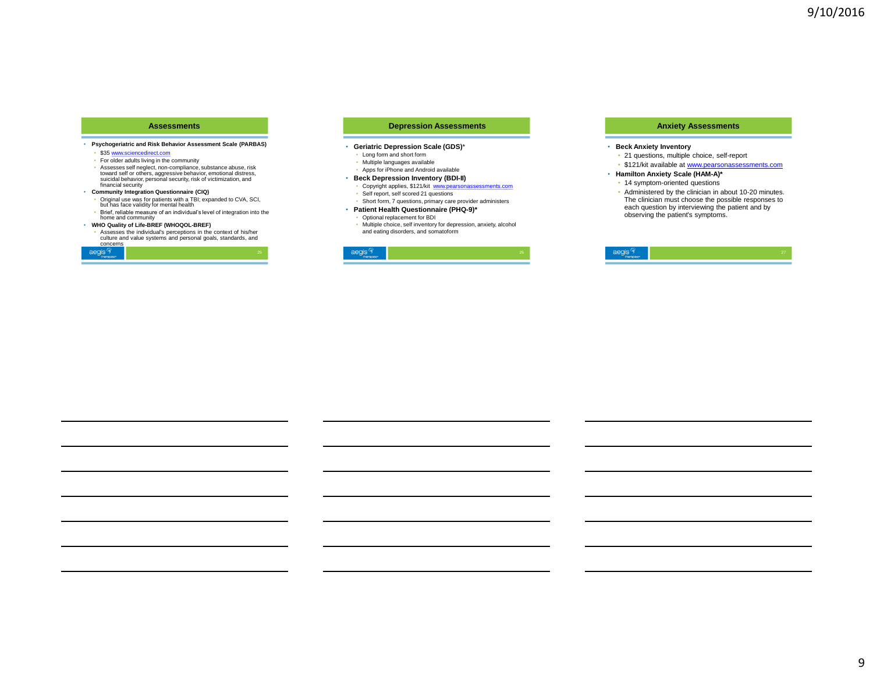#### **Assessments**

- **Psychogeriatric and Risk Behavior Assessment Scale (PARBAS)**
	- \$35 [www.sciencedirect.com](http://www.sciencedirect.com/)
	- For older adults living in the community
	- Assesses self neglect, non-compliance, substance abuse, risk<br>toward self or others, aggressive behavior, emotional distress,<br>suicidal behavior, personal security, risk of victimization, and<br>financial security
- **Community Integration Questionnaire (CIQ)**
- Original use was for patients with a TBI; expanded to CVA, SCI, but has face validity for mental health
- Brief, reliable measure of an individual's level of integration into the home and community

### • **WHO Quality of Life-BREF (WHOQOL-BREF)**

• Assesses the individual's perceptions in the context of his/her culture and value systems and personal goals, standards, and

| concerns | . . | . . | . . |  |
|----------|-----|-----|-----|--|
|          |     |     |     |  |

#### **Depression Assessments**

#### • **Geriatric Depression Scale (GDS)**\*

- Long form and short form
- Multiple languages available
- Apps for iPhone and Android available
- **Beck Depression Inventory (BDI-II)**
- Copyright applies, \$121/kit [www.pearsonassessments.com](http://www.pearsonassessments.com/) • Self report, self scored 21 questions
- Short form, 7 questions, primary care provider administers

### • **Patient Health Questionnaire (PHQ-9)\***

- Optional replacement for BDI
- Multiple choice, self inventory for depression, anxiety, alcohol and eating disorders, and somatoform



#### **Anxiety Assessments**

#### • **Beck Anxiety Inventory**

- 21 questions, multiple choice, self-report
- \$121/kit available at [www.pearsonassessments.com](http://www.pearsonassessments.com/)
- **Hamilton Anxiety Scale (HAM-A)\***
- 14 symptom-oriented questions
- Administered by the clinician in about 10-20 minutes. The clinician must choose the possible responses to each question by interviewing the patient and by observing the patient's symptoms.

| <b>DOC</b><br><b>TIC</b> |  |
|--------------------------|--|
|                          |  |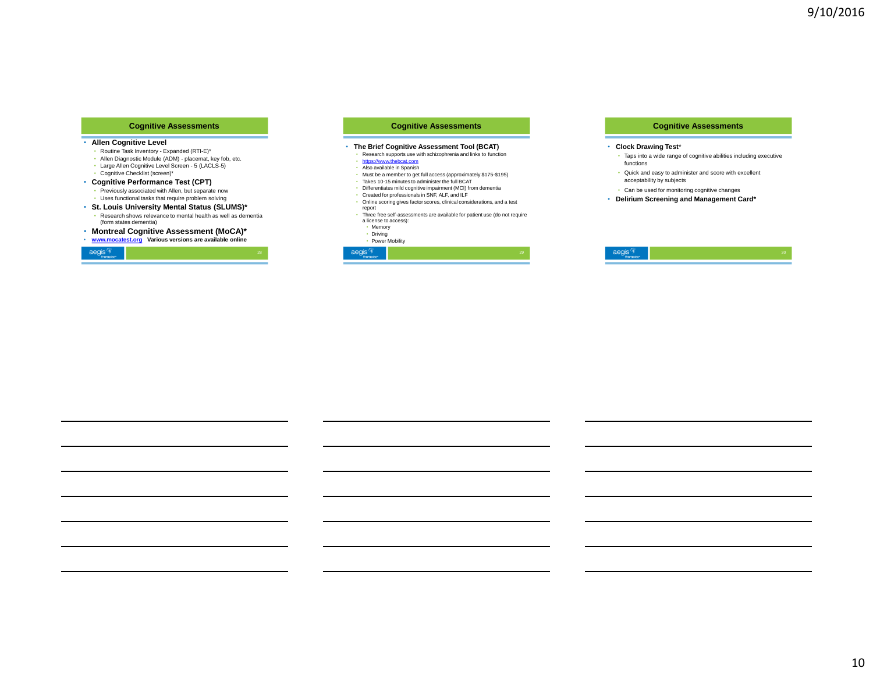### **Cognitive Assessments**

#### • **Allen Cognitive Level**

- Routine Task Inventory Expanded (RTI-E)\*
- Allen Diagnostic Module (ADM) placemat, key fob, etc.
- Large Allen Cognitive Level Screen 5 (LACLS-5)
- Cognitive Checklist (screen)\*
- **Cognitive Performance Test (CPT)**
- Previously associated with Allen, but separate now • Uses functional tasks that require problem solving
- **St. Louis University Mental Status (SLUMS)\***
- Research shows relevance to mental health as well as dementia (form states dementia)
- **Montreal Cognitive Assessment (MoCA)\***

### • **[www.mocatest.org](http://www.mocatest.org/) Various versions are available online**

|--|--|--|

### **Cognitive Assessments**

### • **The Brief Cognitive Assessment Tool (BCAT)**

- Research supports use with schizophrenia and links to function<br>• [https://www.thebcat.com](http://www.thebcat.com/)
- 
- Also available in Spanish
- Must be a member to get full access (approximately \$175-\$195)
- Takes 10-15 minutes to administer the full BCAT • Differentiates mild cognitive impairment (MCI) from dementia
- Created for professionals in SNF, ALF, and ILF
- Online scoring gives factor scores, clinical considerations, and a test
- report Three free self-assessments are available for patient use (do not require a license to access):
- Memory
- Driving

### • Power Mobility

aegis  $\frac{1}{2}$ 

#### **Cognitive Assessments**

#### • **Clock Drawing Test**\*

- Taps into a wide range of cognitive abilities including executive functions
- Quick and easy to administer and score with excellent acceptability by subjects
- Can be used for monitoring cognitive changes
- **Delirium Screening and Management Card\***

| <b>AACIS</b><br>and the contract of the con- | n u |
|----------------------------------------------|-----|
|                                              |     |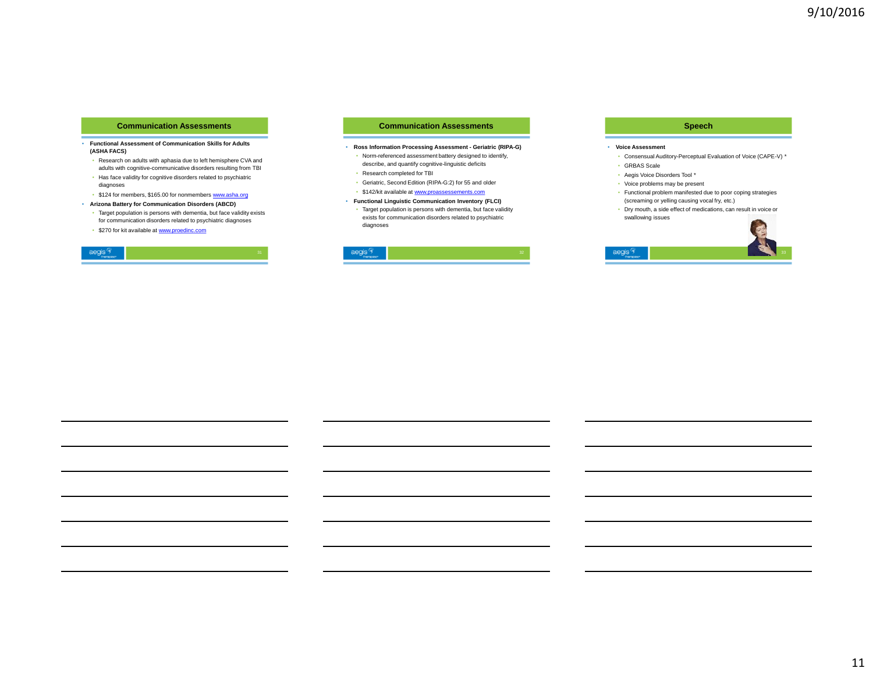### **Communication Assessments**

- **Functional Assessment of Communication Skills for Adults (ASHA FACS)**
	- Research on adults with aphasia due to left hemisphere CVA and adults with cognitive-communicative disorders resulting from TBI
	- Has face validity for cognitive disorders related to psychiatric diagnoses
	- \$124 for members, \$165.00 for nonmembers [www.asha.org](http://www.asha.org/)
- **Arizona Battery for Communication Disorders (ABCD)**
	- Target population is persons with dementia, but face validity exists for communication disorders related to psychiatric diagnoses
	- \$270 for kit available at [www.proedinc.com](http://www.proedinc.com/)

| and the first party of the local<br><b>Contract Contract Contract</b> |  |
|-----------------------------------------------------------------------|--|
|                                                                       |  |

#### **Communication Assessments**

- **Ross Information Processing Assessment - Geriatric (RIPA-G)**
	- Norm-referenced assessment battery designed to identify, describe, and quantify cognitive-linguistic deficits
- Research completed for TBI
- Geriatric, Second Edition (RIPA-G:2) for 55 and older
- \$142/kit available at [www.proassessements.com](http://www.proassessements.com/)

### • **Functional Linguistic Communication Inventory (FLCI)**

• Target population is persons with dementia, but face validity exists for communication disorders related to psychiatric diagnoses

|--|--|

#### **Speech**

#### • **Voice Assessment**

- Consensual Auditory-Perceptual Evaluation of Voice (CAPE-V) \* • GRBAS Scale
- 
- Aegis Voice Disorders Tool \*
- Voice problems may be present
- Functional problem manifested due to poor coping strategies (screaming or yelling causing vocal fry, etc.)
- Dry mouth, a side effect of medications, can result in voice or swallowing issues

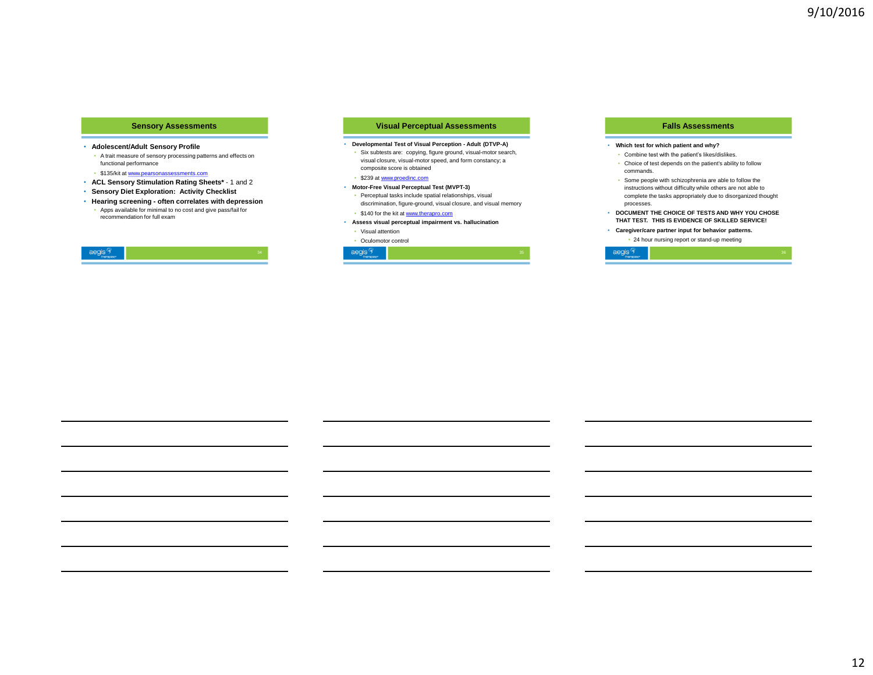#### **Sensory Assessments**

#### • **Adolescent/Adult Sensory Profile**

- A trait measure of sensory processing patterns and effects on functional performance
- \$135/kit at [www.pearsonassessments.com](http://www.pearsonassessments.com/)
- **ACL Sensory Stimulation Rating Sheets\***  1 and 2
- **Sensory Diet Exploration: Activity Checklist**
- **Hearing screening - often correlates with depression** • Apps available for minimal to no cost and give pass/fail for recommendation for full exam

| $\text{aegis }$ |  |  |
|-----------------|--|--|
|                 |  |  |

#### **Visual Perceptual Assessments**

#### • **Developmental Test of Visual Perception - Adult (DTVP-A)**

• Six subtests are: copying, figure ground, visual-motor search, visual closure, visual-motor speed, and form constancy; a composite score is obtained

#### • \$239 at [www.proedinc.com](http://www.proedinc.com/)

- **Motor-Free Visual Perceptual Test (MVPT-3)**
- Perceptual tasks include spatial relationships, visual discrimination, figure-ground, visual closure, and visual memory • \$140 for the kit at [www.therapro.com](http://www.therapro.com/)
- **Assess visual perceptual impairment vs. hallucination**

#### • Visual attention

#### • Oculomotor control

| aegis <sup>9</sup><br>therapies* |  |
|----------------------------------|--|
|                                  |  |

#### **Falls Assessments**

#### • **Which test for which patient and why?**

- Combine test with the patient's likes/dislikes. • Choice of test depends on the patient's ability to follow
- commands. • Some people with schizophrenia are able to follow the
- instructions without difficulty while others are not able to complete the tasks appropriately due to disorganized thought processes.
- **DOCUMENT THE CHOICE OF TESTS AND WHY YOU CHOSE THAT TEST. THIS IS EVIDENCE OF SKILLED SERVICE!**
- **Caregiver/care partner input for behavior patterns.**

• 24 hour nursing report or stand-up meetingaegis  $\frac{1}{2}$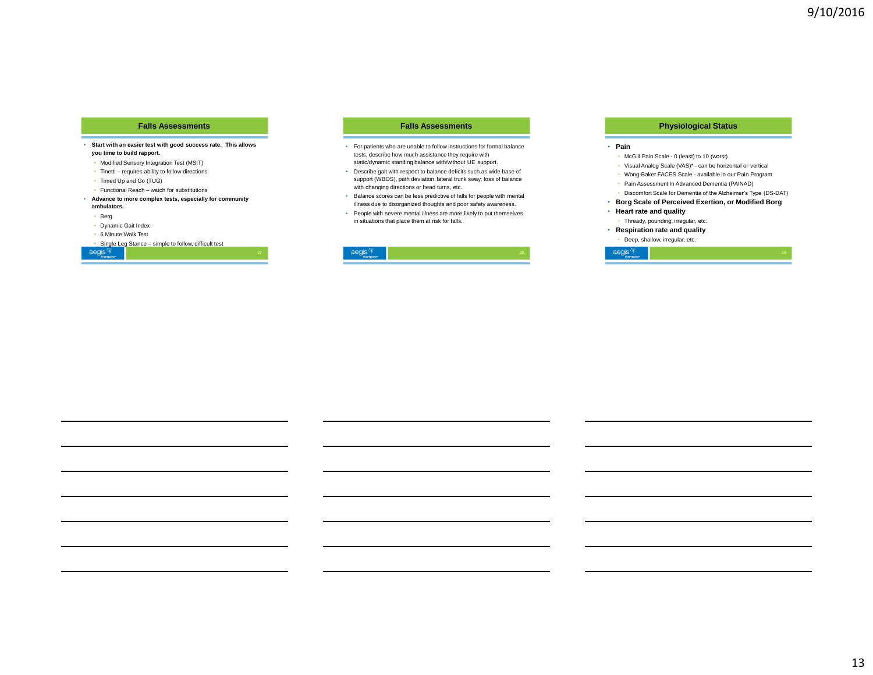### **Falls Assessments**

- **Start with an easier test with good success rate. This allows you time to build rapport.**
	- Modified Sensory Integration Test (MSIT)
	- Tinetti requires ability to follow directions
	- Timed Up and Go (TUG)
	- Functional Reach watch for substitutions
- **Advance to more complex tests, especially for community ambulators.**
- Berg
- Dynamic Gait Index
- 6 Minute Walk Test

### • Single Leg Stance – simple to follow, difficult test

| aegis $ \widetilde{\tau} $<br>therapies* | • Single Leg Stance – simple to follow, difficult tes |  |
|------------------------------------------|-------------------------------------------------------|--|
|                                          |                                                       |  |

### **Falls Assessments**

- For patients who are unable to follow instructions for formal balance tests, describe how much assistance they require with static/dynamic standing balance with/without UE support.
- Describe gait with respect to balance deficits such as wide base of support (WBOS), path deviation, lateral trunk sway, loss of balance with changing directions or head turns, etc.
- Balance scores can be less predictive of falls for people with mental illness due to disorganized thoughts and poor safety awareness.
- People with severe mental illness are more likely to put themselves in situations that place them at risk for falls.



#### **Physiological Status**

#### • **Pain**

- McGill Pain Scale 0 (least) to 10 (worst)
- Visual Analog Scale (VAS)\* can be horizontal or vertical
- Wong-Baker FACES Scale available in our Pain Program
- Pain Assessment In Advanced Dementia (PAINAD)
- Discomfort Scale for Dementia of the Alzheimer's Type (DS-DAT)
- **Borg Scale of Perceived Exertion, or Modified Borg**
- **Heart rate and quality**
	- Thready, pounding, irregular, etc.
- **Respiration rate and quality**

• Deep, shallow, irregular, etc.

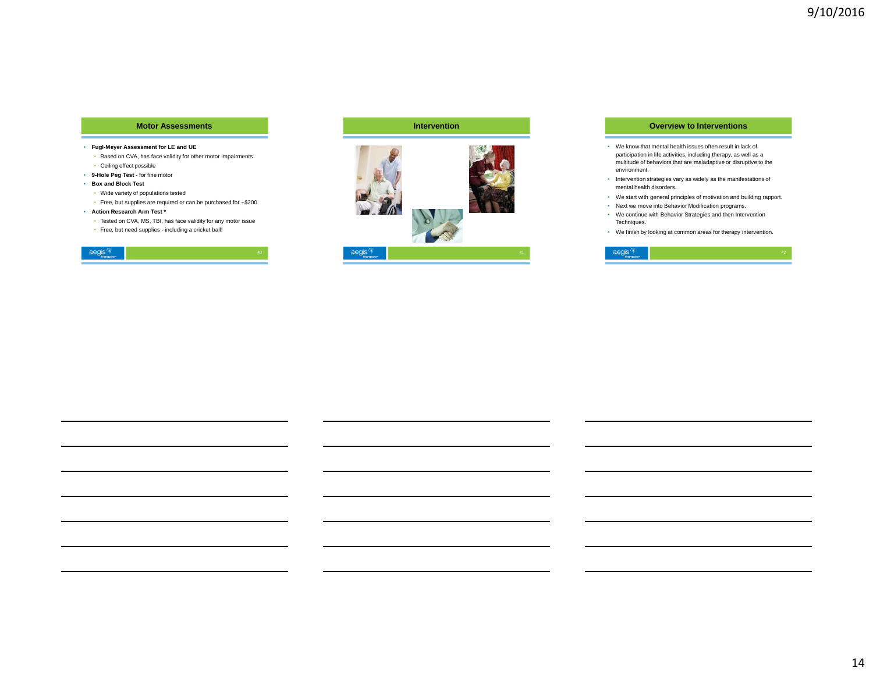### **Motor Assessments**

### • **Fugl-Meyer Assessment for LE and UE**

- Based on CVA, has face validity for other motor impairments
- Ceiling effect possible
- **9-Hole Peg Test**  for fine motor
- **Box and Block Test**
	- Wide variety of populations tested
	- Free, but supplies are required or can be purchased for ~\$200
- **Action Research Arm Test \***
	- Tested on CVA, MS, TBI, has face validity for any motor issue
	- Free, but need supplies including a cricket ball!







#### **Overview to Interventions**

- We know that mental health issues often result in lack of participation in life activities, including therapy, as well as a multitude of behaviors that are maladaptive or disruptive to the environment.
- Intervention strategies vary as widely as the manifestations of mental health disorders.
- We start with general principles of motivation and building rapport.
- Next we move into Behavior Modification programs. • We continue with Behavior Strategies and then Intervention Techniques.
- We finish by looking at common areas for therapy intervention.

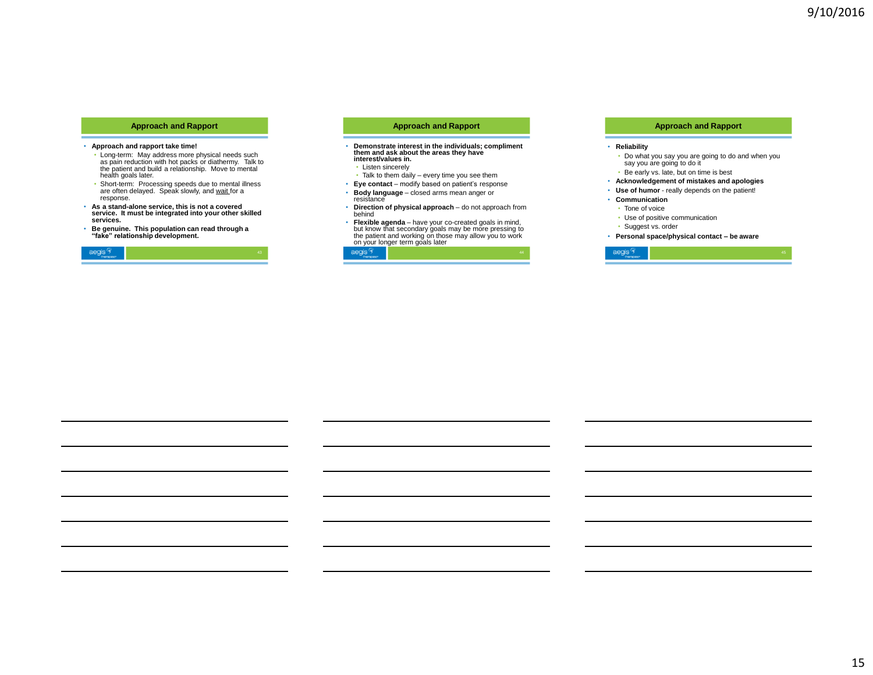#### **Approach and Rapport**

#### • **Approach and rapport take time!**

- Long-term: May address more physical needs such as pain reduction with hot packs or diathermy. Talk to the patient and build a relationship. Move to mental health goals later.
- Short-term: Processing speeds due to mental illness are often delayed. Speak slowly, and wait for a response.
- **As a stand-alone service, this is not a covered service. It must be integrated into your other skilled services.**
- **Be genuine. This population can read through a "fake" relationship development.**

|--|--|--|

#### **Approach and Rapport**

- **Demonstrate interest in the individuals; compliment them and ask about the areas they have interest/values in.**
	- Listen sincerely
- Talk to them daily every time you see them • **Eye contact** – modify based on patient's response
- **Body language**  closed arms mean anger or
- resistance • **Direction of physical approach** – do not approach from behind
- **Flexible agenda**  have your co-created goals in mind, but know that secondary goals may be more pressing to the patient and working on those may allow you to work



#### **Approach and Rapport**

#### • **Reliability**

- Do what you say you are going to do and when you say you are going to do it
- Be early vs. late, but on time is best
- **Acknowledgement of mistakes and apologies**
- **Use of humor**  really depends on the patient!
- **Communication**
- Tone of voice
- Use of positive communication
- Suggest vs. order
- **Personal space/physical contact – be aware**

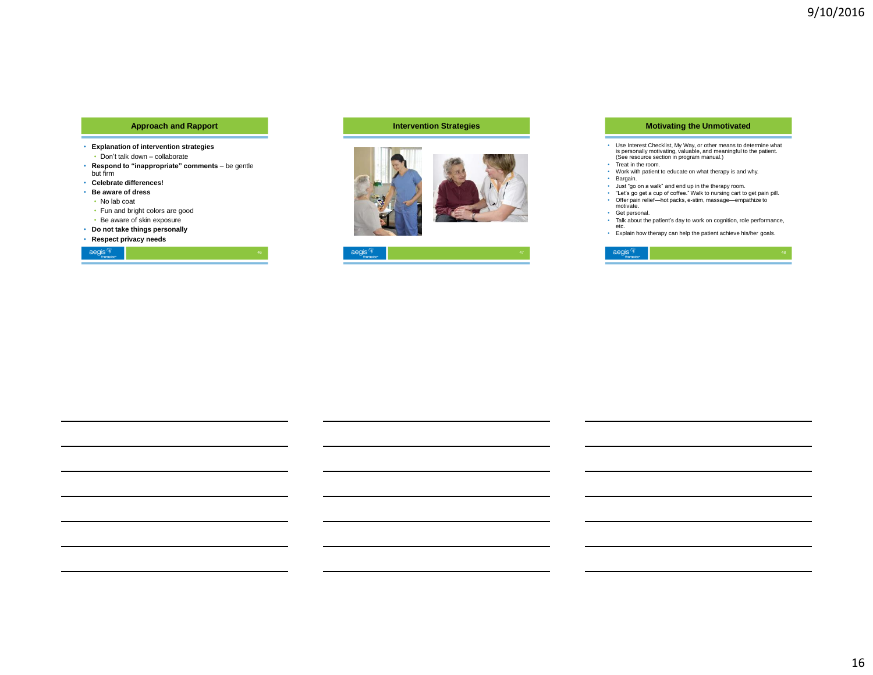### **Approach and Rapport**

- **Explanation of intervention strategies** • Don't talk down – collaborate
- **Respond to "inappropriate" comments**  be gentle but firm
- **Celebrate differences!**
- **Be aware of dress**
	- No lab coat
	- Fun and bright colors are good
	- Be aware of skin exposure
- **Do not take things personally**
- **Respect privacy needs**

 $\text{aegis} \frac{\mathcal{C}}{\mathcal{C}}$ 

### **Intervention Strategies**





### **Motivating the Unmotivated**

- Use Interest Checklist, My Way, or other means to determine what is personally motivating, valuable, and meaningful to the patient. (See resource section in program manual.)
- Treat in the room.
- Work with patient to educate on what therapy is and why. • Bargain.
- Just "go on a walk" and end up in the therapy room.
- "Let's go get a cup of coffee." Walk to nursing cart to get pain pill. • Offer pain relief—hot packs, e-stim, massage—empathize to
- motivate. • Get personal.
- Talk about the patient's day to work on cognition, role performance, etc.
- Explain how therapy can help the patient achieve his/her goals.

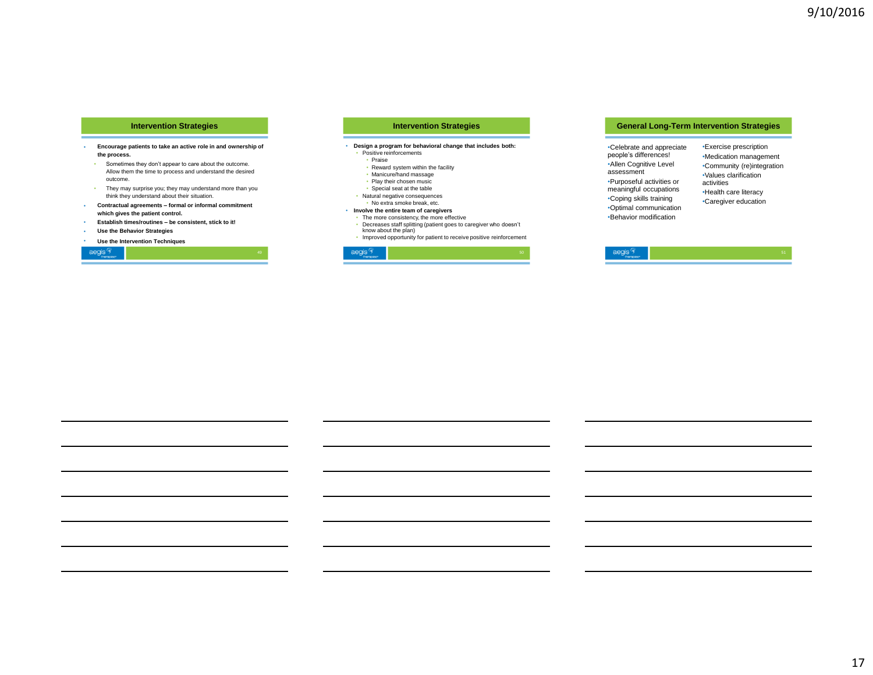### **Intervention Strategies**

- **Encourage patients to take an active role in and ownership of the process.**
- Sometimes they don't appear to care about the outcome. Allow them the time to process and understand the desired outcome.
- They may surprise you; they may understand more than you think they understand about their situation.
- **Contractual agreements – formal or informal commitment which gives the patient control.**
- **Establish times/routines – be consistent, stick to it!**
- **Use the Behavior Strategies**

•

• **Use the Intervention Techniques** 

|--|

### **Intervention Strategies**

#### • **Design a program for behavioral change that includes both:** • Positive reinforcements

- Praise
- 
- Reward system within the facility • Manicure/hand massage
- Play their chosen music
- Special seat at the table
- Natural negative consequences
- No extra smoke break, etc.

#### • **Involve the entire team of caregivers**

- The more consistency, the more effective
- Decreases staff splitting (patient goes to caregiver who doesn't know about the plan)
	- Improved opportunity for patient to receive positive reinforcement



#### **General Long-Term Intervention Strategies**

•Celebrate and appreciate people's differences! •Allen Cognitive Level assessment •Purposeful activities or meaningful occupations •Coping skills training •Optimal communication •Behavior modification

•Exercise prescription •Medication management •Community (re)integration •Values clarification activities •Health care literacy •Caregiver education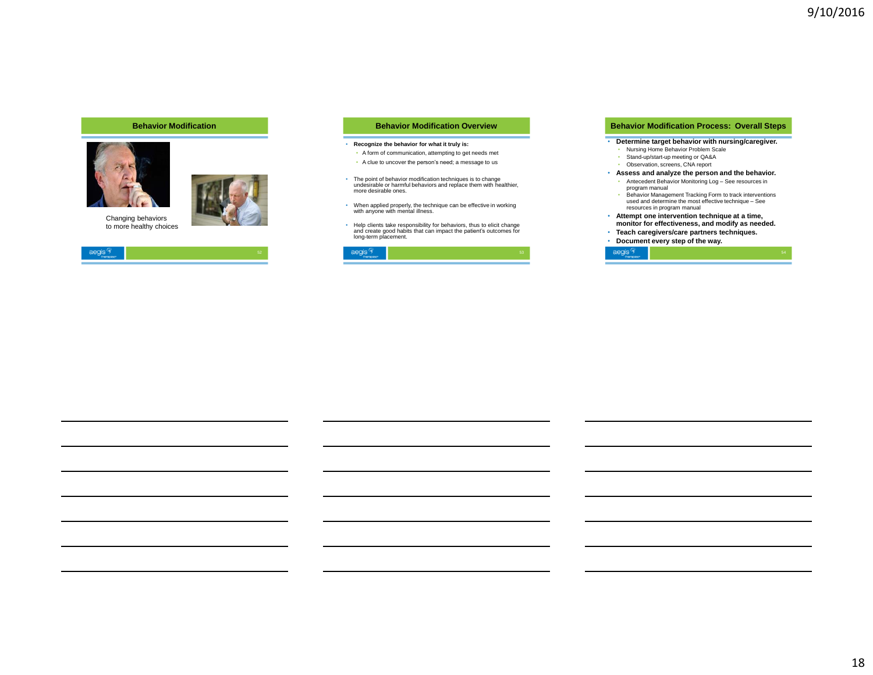### **Behavior Modification**



Changing behaviors to more healthy choices



| aegis <sup>3</sup><br><b>HOURS</b> |  |
|------------------------------------|--|

#### **Behavior Modification Overview**

#### • **Recognize the behavior for what it truly is:**

- A form of communication, attempting to get needs met
- A clue to uncover the person's need; a message to us
- The point of behavior modification techniques is to change undesirable or harmful behaviors and replace them with healthier, more desirable ones.
- When applied properly, the technique can be effective in working with anyone with mental illness.
- Help clients take responsibility for behaviors, thus to elicit change and create good habits that can impact the patient's outcomes for long-term placement.



#### **Behavior Modification Process: Overall Steps**

- **Determine target behavior with nursing/caregiver.**
	- Nursing Home Behavior Problem Scale
	- Stand-up/start-up meeting or QA&A
	- Observation, screens, CNA report
- **Assess and analyze the person and the behavior.** • Antecedent Behavior Monitoring Log – See resources in
- program manual • Behavior Management Tracking Form to track interventions used and determine the most effective technique – See resources in program manual
- **Attempt one intervention technique at a time, monitor for effectiveness, and modify as needed.**
- **Teach caregivers/care partners techniques.**
- **Document every step of the way.**

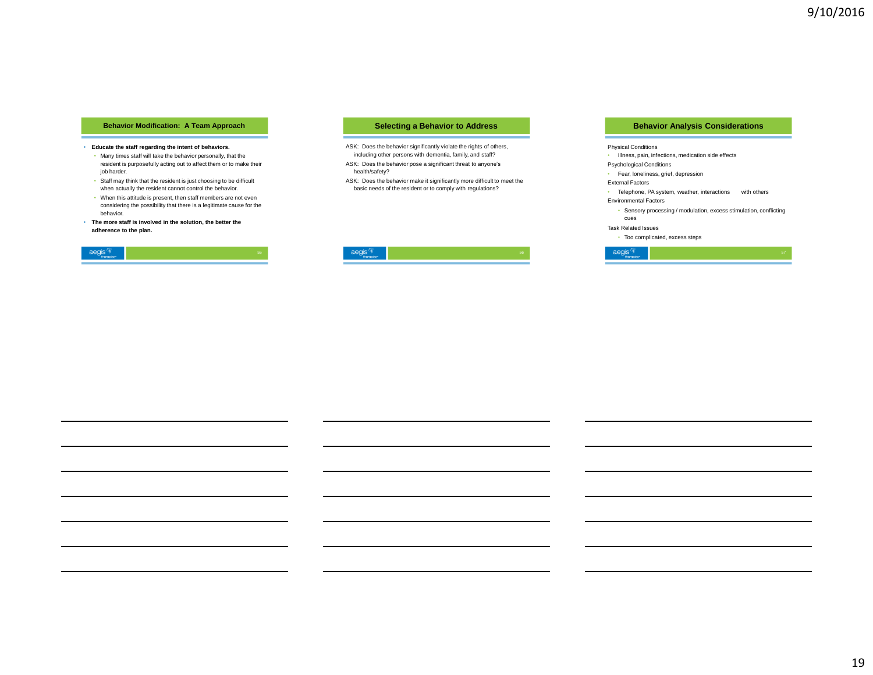### **Behavior Modification: A Team Approach**

#### • **Educate the staff regarding the intent of behaviors.**

- Many times staff will take the behavior personally, that the resident is purposefully acting out to affect them or to make their job harder.
- Staff may think that the resident is just choosing to be difficult when actually the resident cannot control the behavior.
- When this attitude is present, then staff members are not even considering the possibility that there is a legitimate cause for the behavior.
- **The more staff is involved in the solution, the better the adherence to the plan.**

|--|

#### **Selecting a Behavior to Address**

- ASK: Does the behavior significantly violate the rights of others, including other persons with dementia, family, and staff? ASK: Does the behavior pose a significant threat to anyone's health/safety?
- ASK: Does the behavior make it significantly more difficult to meet the basic needs of the resident or to comply with regulations?



### **Behavior Analysis Considerations**

#### Physical Conditions

- Illness, pain, infections, medication side effects
- Psychological Conditions
- Fear, loneliness, grief, depression
- External Factors
- Telephone, PA system, weather, interactions with others Environmental Factors
- Sensory processing / modulation, excess stimulation, conflicting cues
- Task Related Issues
- Too complicated, excess steps

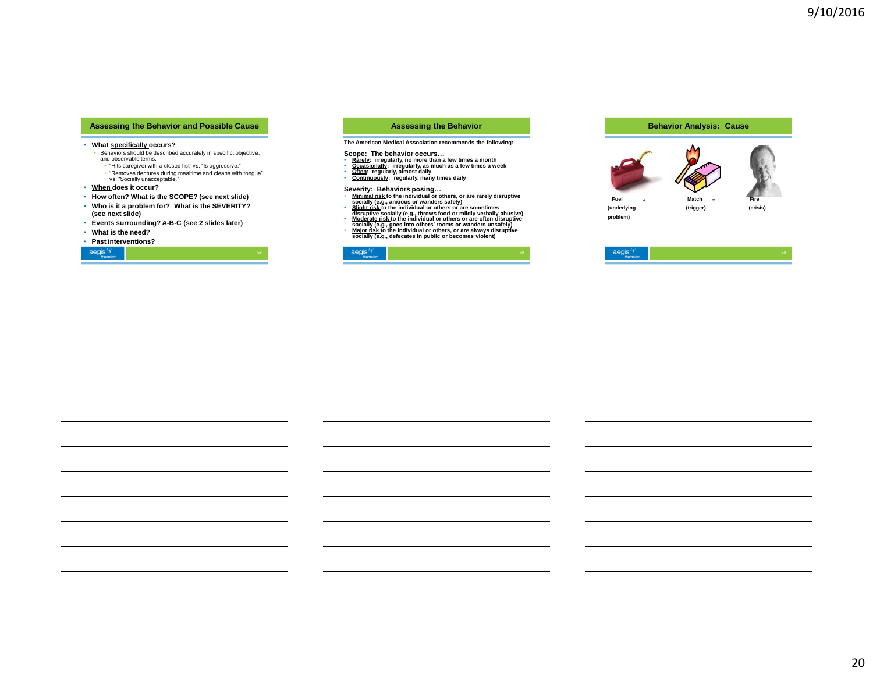### **Assessing the Behavior and Possible Cause**

- **What specifically occurs?** Behaviors should be described accurately in specific, objective, and observable terms.
- "Hits caregiver with a closed fist" vs. "Is aggressive." • "Removes dentures during mealtime and cleans with tongue" vs. "Socially unacceptable."
- **When does it occur?**
- **How often? What is the SCOPE? (see next slide)**
- **Who is it a problem for? What is the SEVERITY?**
- **(see next slide)**
- **Events surrounding? A-B-C (see 2 slides later)**
- **What is the need?**

#### • **Past interventions?**

#### **Assessing the Behavior**

### **The American Medical Association recommends the following:**

- Scope: The behavior occurs...<br>• <u>Rarely</u>: irregularly, no more than a few times a month<br>• <u>Occasionally</u>: irregularly, as much as a few times a week<br>• <u>Chen</u>: regularly, almost dally<br>• Continuously: regularly, many times d
- 
- 

- 
- 
- 
- Severity: Behaviors posing...<br>
Minimalrisk to the individual or others, or are rarely disruptive<br>
Minimalrisk to the individual or others or are sometimes<br>
Slight risk to the individual or others or are sometimes<br>
Slight



### **Behavior Analysis: Cause**

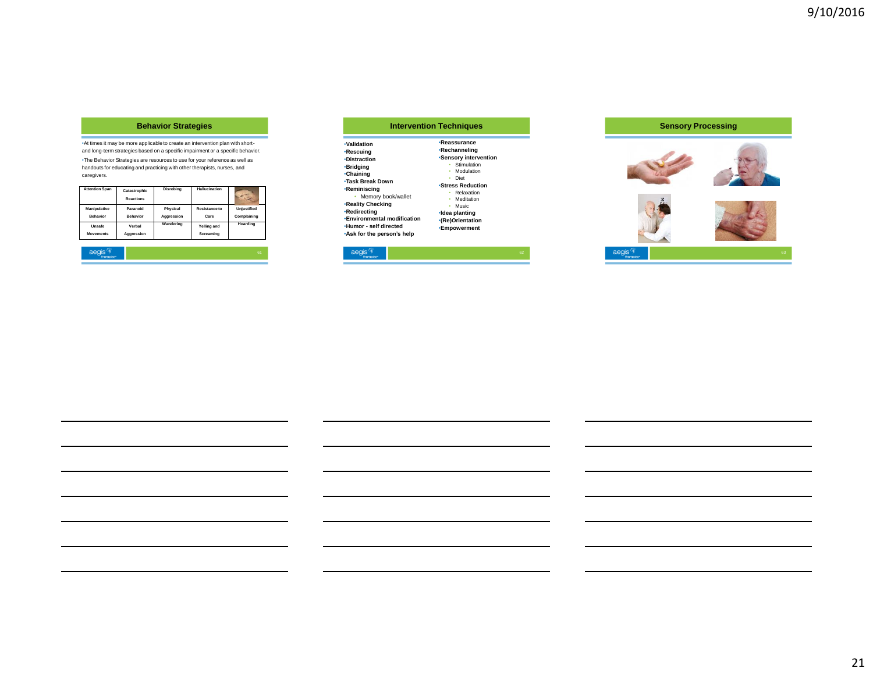### **Behavior Strategies**

•At times it may be more applicable to create an intervention plan with shortand long-term strategies based on a specific impairment or a specific behavior. •The Behavior Strategies are resources to use for your reference as well as handouts for educating and practicing with other therapists, nurses, and caregivers.

| <b>Attention Span</b>           | Catastrophic<br><b>Reactions</b> | <b>Disrobing</b>       | <b>Hallucination</b>     |                                   |
|---------------------------------|----------------------------------|------------------------|--------------------------|-----------------------------------|
| Manipulative<br><b>Behavior</b> | Paranoid<br><b>Behavior</b>      | Physical<br>Aggression | Resistance to<br>Care    | <b>Uniustified</b><br>Complaining |
| Unsafe<br><b>Movements</b>      | Verbal<br>Aggression             | Wandering              | Yelling and<br>Screaming | Hoarding                          |
| $\sim$ $\sim$                   |                                  |                        |                          |                                   |

#### **Intervention Techniques** •**Validation** •**Rescuing** •**Distraction** •**Bridging** •**Chaining** •**Task Break Down** •**Reminiscing** • Memory book/wallet •**Reality Checking** •**Redirecting** •**Environmental modification** •**Humor - self directed** •**Ask for the person's help** •**Reassurance** •**Rechanneling** •**Sensory intervention** • Stimulation • Modulation • Diet •**Stress Reduction** • Relaxation • Meditation • Music •**Idea planting** •**(Re)Orientation** •**Empowerment**



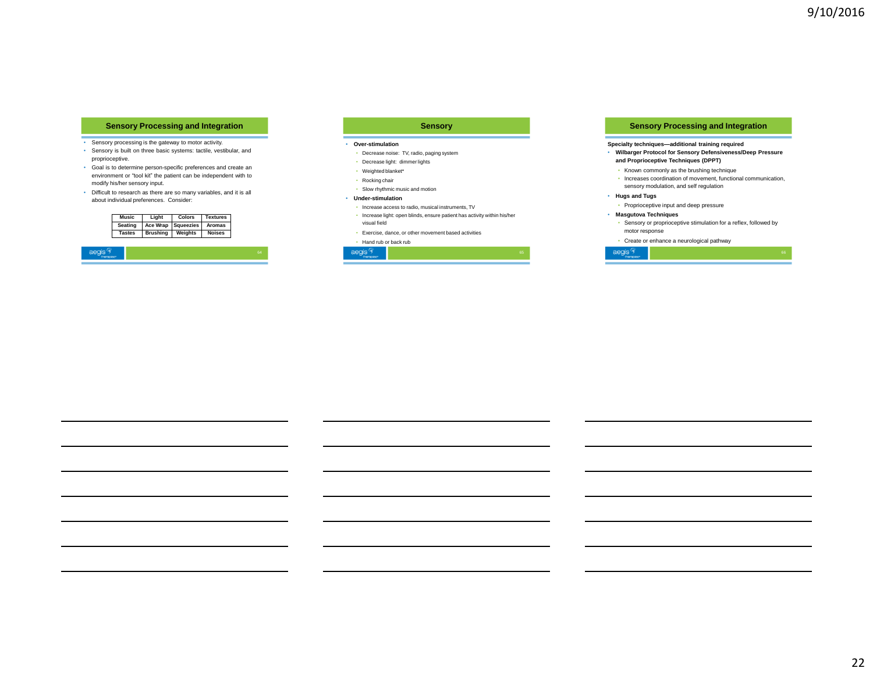### **Sensory Processing and Integration**

- Sensory processing is the gateway to motor activity.
- Sensory is built on three basic systems: tactile, vestibular, and proprioceptive.
- Goal is to determine person-specific preferences and create an environment or "tool kit" the patient can be independent with to modify his/her sensory input.
- Difficult to research as there are so many variables, and it is all about individual preferences. Consider:

| Music         | Liaht    | <b>Colors</b>      | <b>Textures</b> |
|---------------|----------|--------------------|-----------------|
| Seating       |          | Ace Wrap Squeezies | <b>Aromas</b>   |
| <b>Tastes</b> | Brushina | Weights            | <b>Noises</b>   |

| <b>PACIE</b> |  |
|--------------|--|
|              |  |

#### **Sensory**

#### • **Over-stimulation**

- Decrease noise: TV, radio, paging system
- Decrease light: dimmer lights
- Weighted blanket\*
- Rocking chair
- Slow rhythmic music and motion

#### • **Under-stimulation**

- Increase access to radio, musical instruments, TV
- Increase light: open blinds, ensure patient has activity within his/her visual field
- Exercise, dance, or other movement based activities

#### • Hand rub or back rub



### **Sensory Processing and Integration**

#### **Specialty techniques—additional training required**

- **Wilbarger Protocol for Sensory Defensiveness/Deep Pressure and Proprioceptive Techniques (DPPT)**
	- Known commonly as the brushing technique
	- Increases coordination of movement, functional communication, sensory modulation, and self regulation

#### • **Hugs and Tugs**

- Proprioceptive input and deep pressure
- **Masgutova Techniques**
	- Sensory or proprioceptive stimulation for a reflex, followed by motor response

#### • Create or enhance a neurological pathway

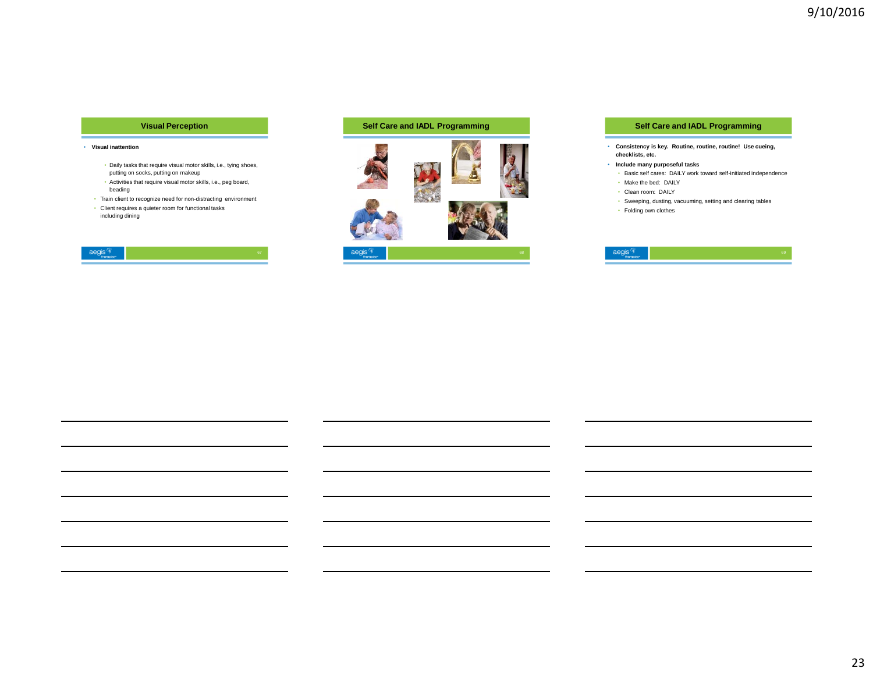### **Visual Perception**

#### • **Visual inattention**

- Daily tasks that require visual motor skills, i.e., tying shoes, putting on socks, putting on makeup
- Activities that require visual motor skills, i.e., peg board, beading
- Train client to recognize need for non-distracting environment
- Client requires a quieter room for functional tasks including dining

| aegis <sup>3</sup>            |  |
|-------------------------------|--|
| بوت<br>therapies <sup>*</sup> |  |
|                               |  |
|                               |  |

**Self Care and IADL Programming**



### **Self Care and IADL Programming**

- **Consistency is key. Routine, routine, routine! Use cueing, checklists, etc.**
- **Include many purposeful tasks**
	- Basic self cares: DAILY work toward self-initiated independence
	- Make the bed: DAILY
	- Clean room: DAILY
	- Sweeping, dusting, vacuuming, setting and clearing tables
	- Folding own clothes

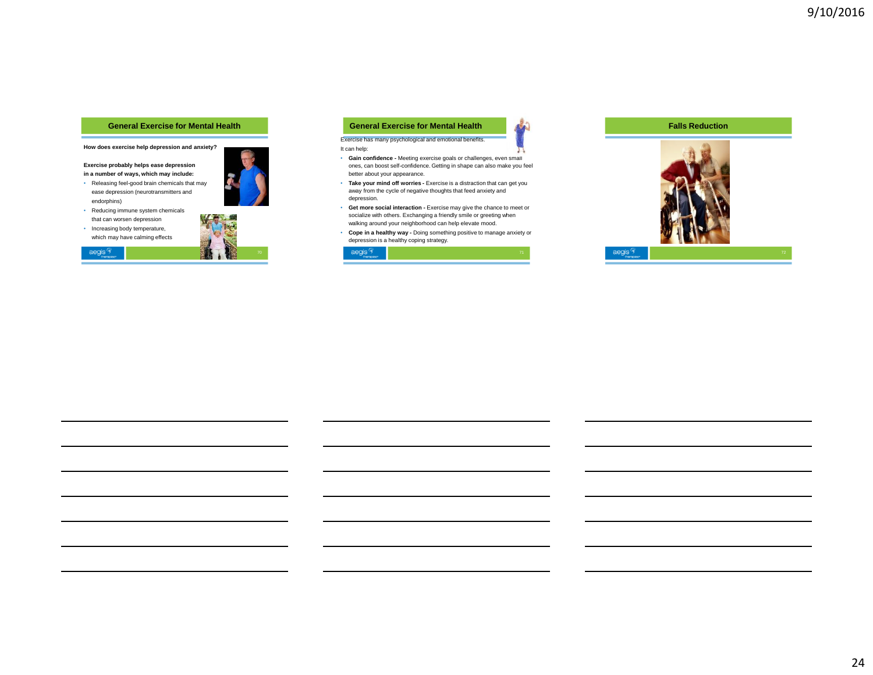### **General Exercise for Mental Health**

### **How does exercise help depression and anxiety?**

#### **Exercise probably helps ease depression in a number of ways, which may include:**

- Releasing feel-good brain chemicals that may ease depression (neurotransmitters and
- endorphins) • Reducing immune system chemicals
- that can worsen depression • Increasing body temperature,
- which may have calming effects

 $\text{aegis} \frac{1}{2}$ 



### **General Exercise for Mental Health**

Exercise has many psychological and emotional benefits. It can help:

• **Gain confidence -** Meeting exercise goals or challenges, even small ones, can boost self-confidence. Getting in shape can also make you feel better about your appearance.

لغا

- **Take your mind off worries -** Exercise is a distraction that can get you away from the cycle of negative thoughts that feed anxiety and depression.
- **Get more social interaction -** Exercise may give the chance to meet or socialize with others. Exchanging a friendly smile or greeting when walking around your neighborhood can help elevate mood.
- **Cope in a healthy way -** Doing something positive to manage anxiety or depression is a healthy coping strategy.

| . . |  |
|-----|--|
|     |  |

#### **Falls Reduction**



24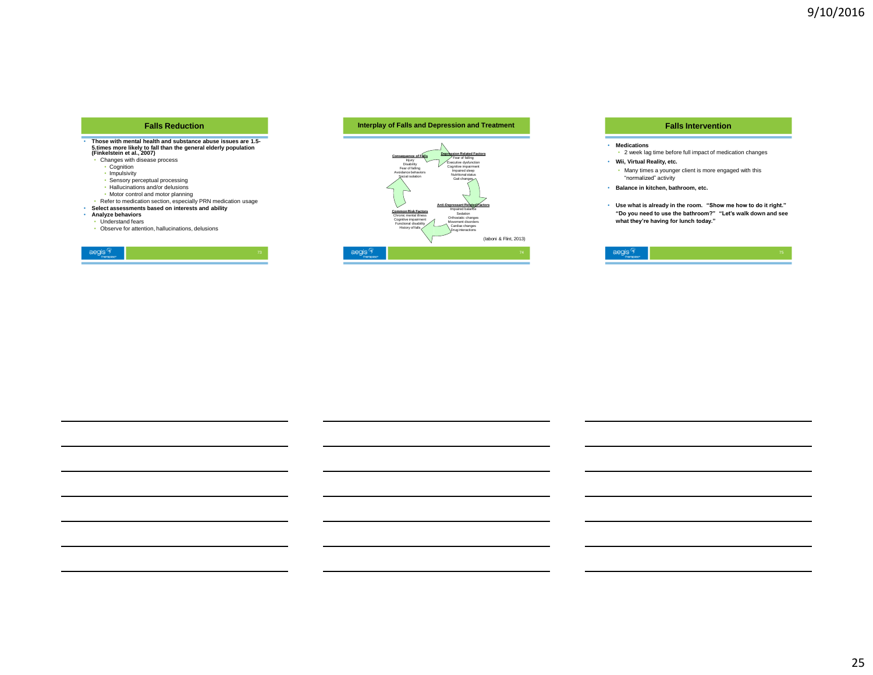### **Falls Reduction**

- **Those with mental health and substance abuse issues are 1.5- 5.times more likely to fall than the general elderly population (Finkelstein et al., 2007)**
- Changes with disease process
	- Cognition
	-
	-
	- Impulsivity Sensory perceptual processing Hallucinations and/or delusions
	-
- Motor control and motor planning Refer to medication section, especially PRN medication usage **Select assessments based on interests and ability**
	-
- **Analyze behaviors**
	- Understand fears Observe for attention, hallucinations, delusions





#### **Falls Intervention**

#### • **Medications**

- 2 week lag time before full impact of medication changes • **Wii, Virtual Reality, etc.**
- Many times a younger client is more engaged with this "normalized" activity
- **Balance in kitchen, bathroom, etc.**
- **Use what is already in the room. "Show me how to do it right." "Do you need to use the bathroom?" "Let's walk down and see what they're having for lunch today."**

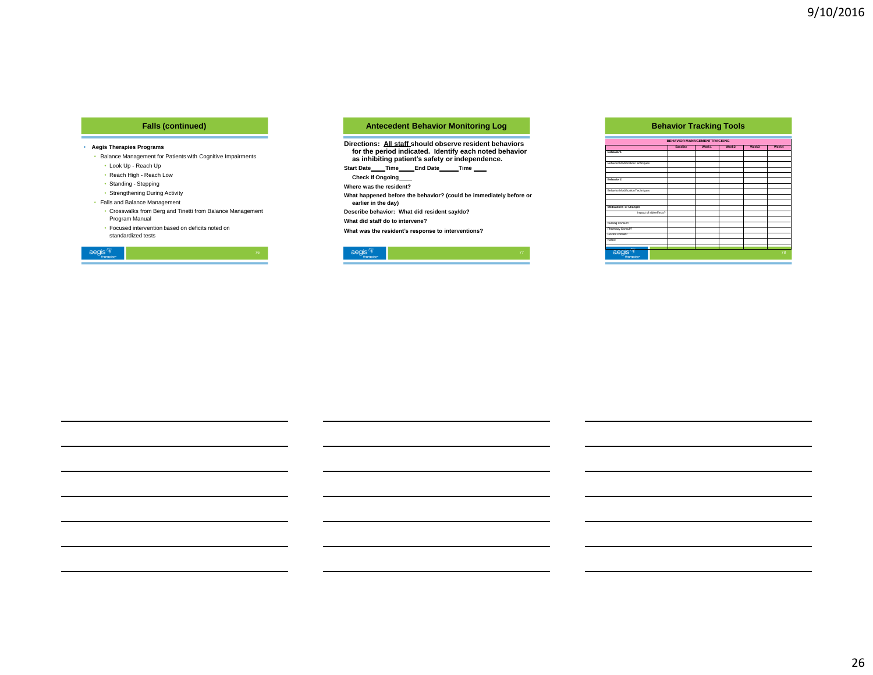### **Falls (continued)**

#### • **Aegis Therapies Programs**

- Balance Management for Patients with Cognitive Impairments
	- Look Up Reach Up
	- Reach High Reach Low
	- Standing Stepping
	- Strengthening During Activity
- Falls and Balance Management
	- Crosswalks from Berg and Tinetti from Balance Management Program Manual
	- Focused intervention based on deficits noted on standardized tests

| $\overline{\text{aegis }^{\mathcal{F}}}$ |  |
|------------------------------------------|--|
|                                          |  |

### **Antecedent Behavior Monitoring Log**

**Directions: All staff should observe resident behaviors for the period indicated. Identify each noted behavior as inhibiting patient's safety or independence.**

**Start Date Time End Date Time** 

**Check If Ongoing**

**Where was the resident?**

**What happened before the behavior? (could be immediately before or earlier in the day)**

**Describe behavior: What did resident say/do?** 

**What did staff do to intervene?**

**What was the resident's response to interventions?**



### **Behavior Tracking Tools**

|                                              | Baseline | Week <sub>1</sub> | Week <sub>2</sub> | Week3 | Week 4 |
|----------------------------------------------|----------|-------------------|-------------------|-------|--------|
| Behavior 1                                   |          |                   |                   |       |        |
|                                              |          |                   |                   |       |        |
| Behavior Modification Techniques             |          |                   |                   |       |        |
|                                              |          |                   |                   |       |        |
|                                              |          |                   |                   |       |        |
| Behavior 2                                   |          |                   |                   |       |        |
|                                              |          |                   |                   |       |        |
| Behavior Modification Techniques             |          |                   |                   |       |        |
|                                              |          |                   |                   |       |        |
|                                              |          |                   |                   |       |        |
| Medications or Changes                       |          |                   |                   |       |        |
| Impact of side effects?                      |          |                   |                   |       |        |
|                                              |          |                   |                   |       |        |
| Nursing Consult?                             |          |                   |                   |       |        |
| Pharmacy Consult?                            |          |                   |                   |       |        |
| Doctor Consult?                              |          |                   |                   |       |        |
| Notes:                                       |          |                   |                   |       |        |
| $\overline{\phantom{1}}$                     |          |                   |                   |       |        |
| aegis <sup>5</sup><br>therapies <sup>*</sup> |          |                   |                   |       | 78     |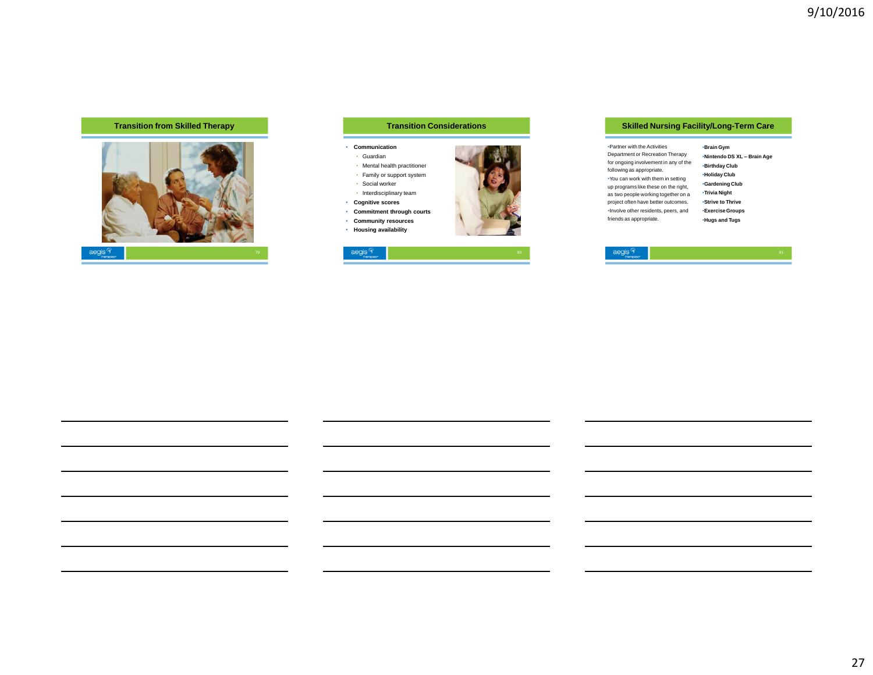### **Transition from Skilled Therapy**



### **Transition Considerations** • **Communication** • Guardian • Mental health practitioner • Family or support system • Social worker • Interdisciplinary team • **Cognitive scores** • **Commitment through courts** • **Community resources** • **Housing availability**  $\text{aegis} \frac{\mathcal{C}}{\mathcal{C}}$

### **Skilled Nursing Facility/Long-Term Care**

 $\text{aegis} \frac{\mathcal{C}}{\mathcal{C}}$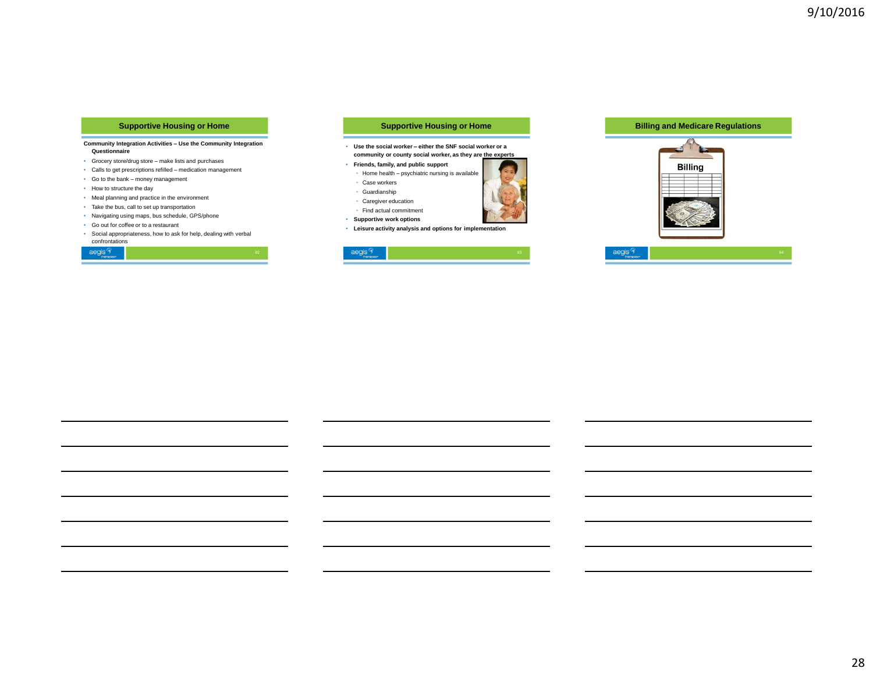### **Supportive Housing or Home**

#### **Community Integration Activities – Use the Community Integration Questionnaire**

- Grocery store/drug store make lists and purchases
- Calls to get prescriptions refilled medication management
- Go to the bank money management
- How to structure the day
- Meal planning and practice in the environment
- Take the bus, call to set up transportation
- Navigating using maps, bus schedule, GPS/phone
- Go out for coffee or to a restaurant
- Social appropriateness, how to ask for help, dealing with verbal confrontations

|--|

### **Supportive Housing or Home**

• **Use the social worker – either the SNF social worker or a community or county social worker, as they are the experts**

#### • **Friends, family, and public support**

- Home health psychiatric nursing is available
- Case workers
- Guardianship
- Caregiver education
- Find actual commitment
- **Supportive work options**
- **Leisure activity analysis and options for implementation**



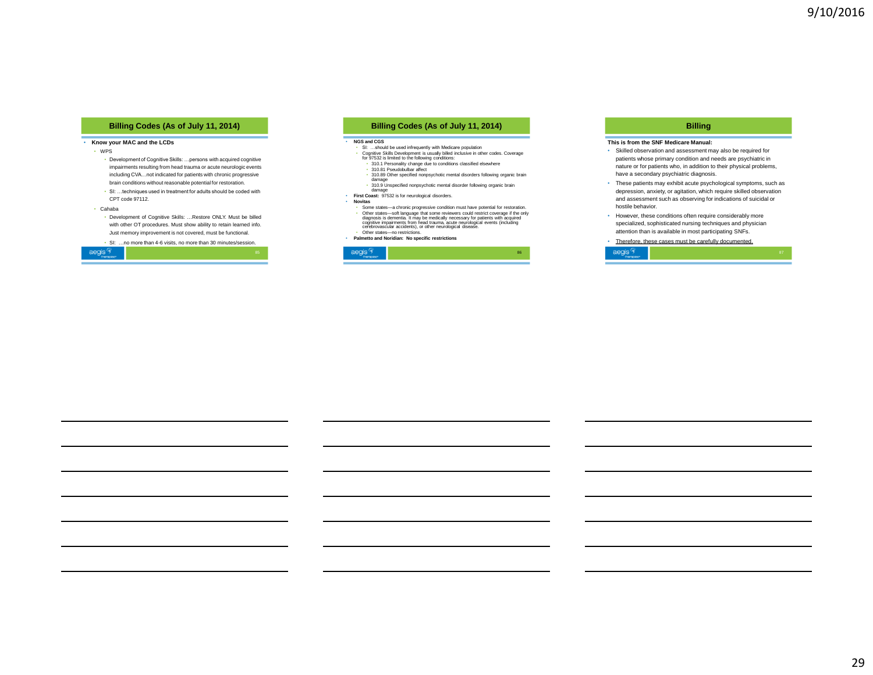### **Billing Codes (As of July 11, 2014)**

#### • **Know your MAC and the LCDs**

- WPS
	- Development of Cognitive Skills: …persons with acquired cognitive impairments resulting from head trauma or acute neurologic events including CVA…not indicated for patients with chronic progressive brain conditions without reasonable potential for restoration.
	- SI: …techniques used in treatment for adults should be coded with CPT code 97112.
- Cahaba
- Development of Cognitive Skills: …Restore ONLY. Must be billed with other OT procedures. Must show ability to retain learned info. Just memory improvement is not covered, must be functional.



#### **Billing Codes (As of July 11, 2014)**

#### • **NGS and CGS**

- SI: …should be used infrequently with Medicare population
- Cognitive Skills Development is usually billed inclusive in other codes. Coverage for 97532 is limited to the following conditions: • 310.1 Personality change due to conditions classified elsewhere
- 310.81 Pseudobulbar affect
- 310.89 Other specified nonpsychotic mental disorders following organic brain
- damage 310.9 Unspecified nonpsychotic mental disorder following organic brain
- damage **First Coast:** 97532 is for neurological disorders.
- 
- **Novitas**
	- Some states—a chronic progressive condition must have potential for restoration. ∙ Other states—soft language that some reviewers could restrict coverage if the only<br>diagnosis is dementia. It may be medically necessary for patients with acquired<br>cognitive impairments from head trauma, acute neurologic

#### Other states-no restrictions.

#### • **Palmetto and Noridian: No specific restrictions**



#### **Billing**

#### **This is from the SNF Medicare Manual:**

- Skilled observation and assessment may also be required for patients whose primary condition and needs are psychiatric in nature or for patients who, in addition to their physical problems, have a secondary psychiatric diagnosis.
- These patients may exhibit acute psychological symptoms, such as depression, anxiety, or agitation, which require skilled observation and assessment such as observing for indications of suicidal or hostile behavior.
- However, these conditions often require considerably more specialized, sophisticated nursing techniques and physician attention than is available in most participating SNFs.

#### Therefore, these cases must be carefully documented.

| aegis <sup>6</sup> |  |
|--------------------|--|
|                    |  |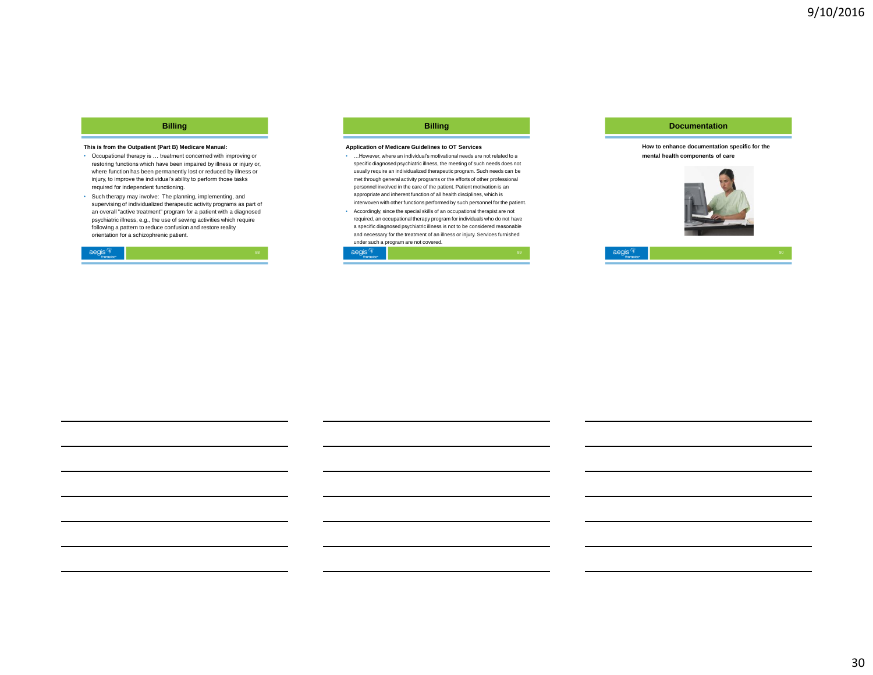**Billing**

#### **This is from the Outpatient (Part B) Medicare Manual:**

- Occupational therapy is … treatment concerned with improving or restoring functions which have been impaired by illness or injury or, where function has been permanently lost or reduced by illness or injury, to improve the individual's ability to perform those tasks required for independent functioning.
- Such therapy may involve: The planning, implementing, and supervising of individualized therapeutic activity programs as part of an overall "active treatment" program for a patient with a diagnosed psychiatric illness, e.g., the use of sewing activities which require following a pattern to reduce confusion and restore reality orientation for a schizophrenic patient.

 $\text{aegis} \frac{1}{2}$ 

#### **Billing**

#### **Application of Medicare Guidelines to OT Services**

- …However, where an individual's motivational needs are not related to a specific diagnosed psychiatric illness, the meeting of such needs does not usually require an individualized therapeutic program. Such needs can be met through general activity programs or the efforts of other professional personnel involved in the care of the patient. Patient motivation is an appropriate and inherent function of all health disciplines, which is interwoven with other functions performed by such personnel for the patient.
- Accordingly, since the special skills of an occupational therapist are not required, an occupational therapy program for individuals who do not have a specific diagnosed psychiatric illness is not to be considered reasonable and necessary for the treatment of an illness or injury. Services furnished under such a program are not covered.

| <b>GOOD</b><br><b>ACCOM</b> |  |
|-----------------------------|--|
|                             |  |

#### **Documentation**

**How to enhance documentation specific for the mental health components of care**



| <b>Anglie 9</b><br><b>Contract Contract</b><br>lerapies <sup>,</sup> |  |
|----------------------------------------------------------------------|--|
|                                                                      |  |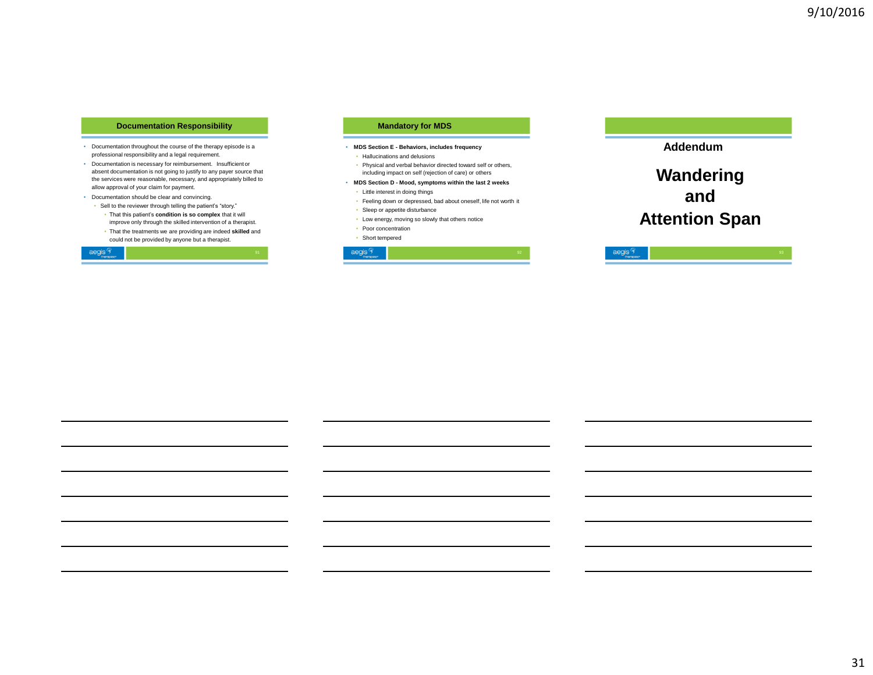### **Documentation Responsibility**

- Documentation throughout the course of the therapy episode is a professional responsibility and a legal requirement.
- Documentation is necessary for reimbursement. Insufficient or absent documentation is not going to justify to any payer source that the services were reasonable, necessary, and appropriately billed to allow approval of your claim for payment.
- Documentation should be clear and convincing.
	- Sell to the reviewer through telling the patient's "story." • That this patient's **condition is so complex** that it will
	- improve only through the skilled intervention of a therapist.
	- That the treatments we are providing are indeed **skilled** and could not be provided by anyone but a therapist.

 $\text{aegis} \frac{1}{2}$ 

### **Mandatory for MDS**

#### • **MDS Section E - Behaviors, includes frequency**

- Hallucinations and delusions
- Physical and verbal behavior directed toward self or others, including impact on self (rejection of care) or others
- **MDS Section D - Mood, symptoms within the last 2 weeks**

#### • Little interest in doing things

- Feeling down or depressed, bad about oneself, life not worth it
- Sleep or appetite disturbance
- Low energy, moving so slowly that others notice
- Poor concentration

#### • Short tempered



**Addendum**

# **Wandering and Attention Span**

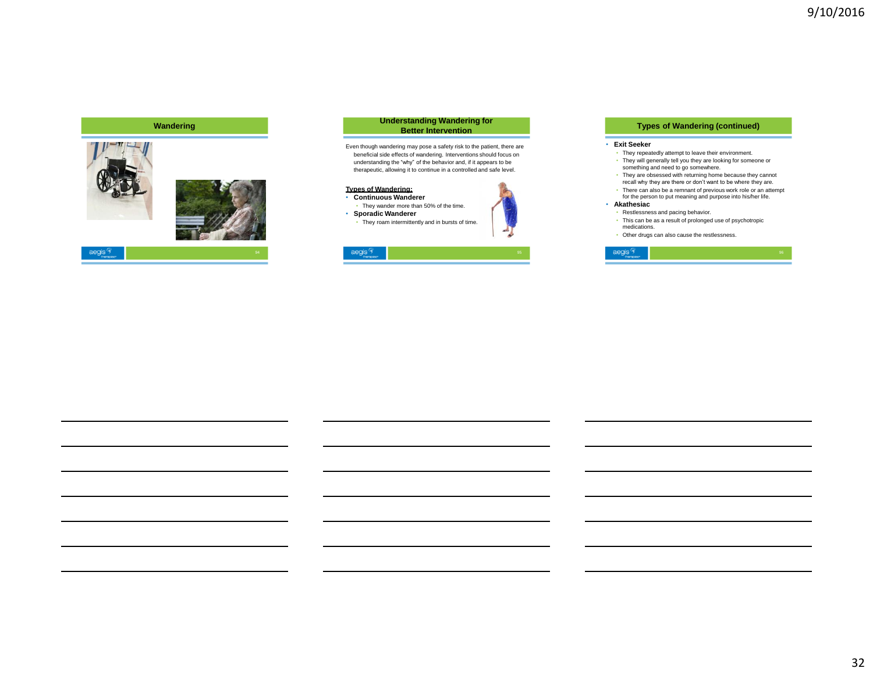### **Wandering**





### **Types of Wandering (continued)**

#### • **Exit Seeker**

- They repeatedly attempt to leave their environment. • They will generally tell you they are looking for someone or something and need to go somewhere.
- They are obsessed with returning home because they cannot
- recall why they are there or don't want to be where they are.
- There can also be a remnant of previous work role or an attempt for the person to put meaning and purpose into his/her life.

### • **Akathesiac**

- Restlessness and pacing behavior.
- This can be as a result of prolonged use of psychotropic medications.
- Other drugs can also cause the restlessness.

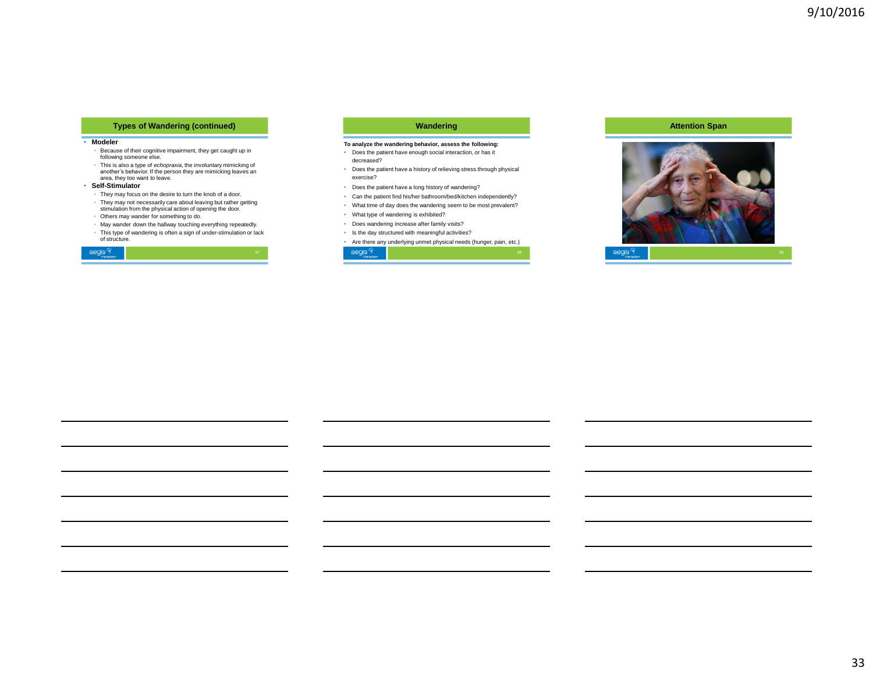### **Types of Wandering (continued)**

#### • **Modeler**

- Because of their cognitive impairment, they get caught up in following someone else.
- This is also a type of *echopraxia*, the involuntary mimicking of another's behavior. If the person they are mimicking leaves an area, they too want to leave.
- **Self-Stimulator**
	- They may focus on the desire to turn the knob of a door. • They may not necessarily care about leaving but rather getting stimulation from the physical action of opening the door.
- Others may wander for something to do.
- 
- May wander down the hallway touching everything repeatedly. • This type of wandering is often a sign of under-stimulation or lack of structure.

| ,,,,,,,,,,,,, |  |
|---------------|--|
|               |  |

#### **Wandering**

#### **To analyze the wandering behavior, assess the following:**

- Does the patient have enough social interaction, or has it
- decreased?
- Does the patient have a history of relieving stress through physical exercise?
- Does the patient have a long history of wandering?
- Can the patient find his/her bathroom/bed/kitchen independently?
- What time of day does the wandering seem to be most prevalent?
- What type of wandering is exhibited?
- Does wandering increase after family visits?
- Is the day structured with meaningful activities?
- Are there any underlying unmet physical needs (hunger, pain, etc.)



### **Attention Span**

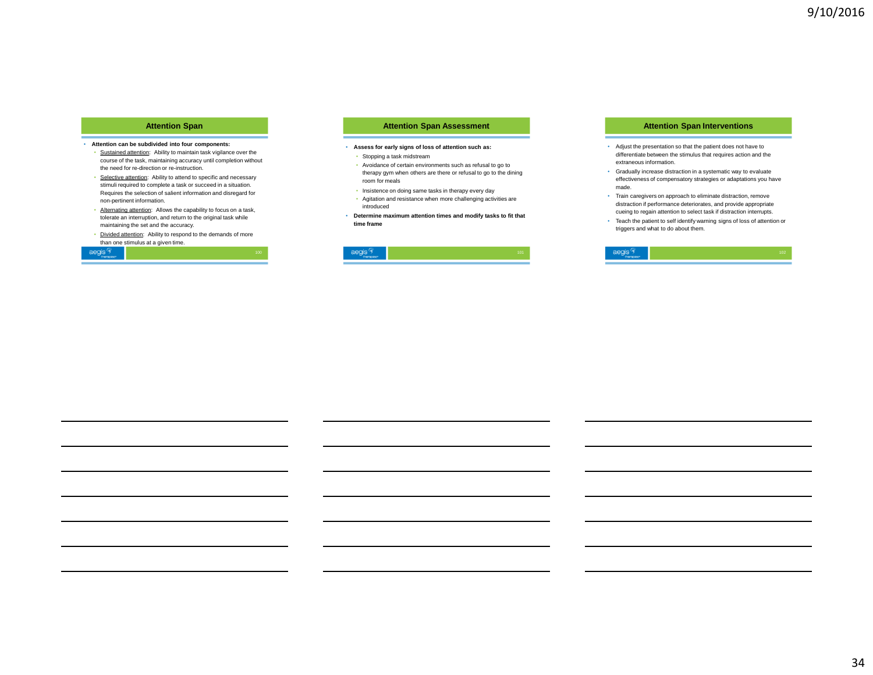#### **Attention Span**

- **Attention can be subdivided into four components:**
	- Sustained attention: Ability to maintain task vigilance over the course of the task, maintaining accuracy until completion without the need for re-direction or re-instruction.
	- Selective attention: Ability to attend to specific and necessary stimuli required to complete a task or succeed in a situation. Requires the selection of salient information and disregard for non-pertinent information.
	- Alternating attention: Allows the capability to focus on a task, tolerate an interruption, and return to the original task while maintaining the set and the accuracy.
	- Divided attention: Ability to respond to the demands of more than one stimulus at a given time.

#### **Attention Span Assessment**

- **Assess for early signs of loss of attention such as:**
- Stopping a task midstream
- Avoidance of certain environments such as refusal to go to therapy gym when others are there or refusal to go to the dining room for meals
- Insistence on doing same tasks in therapy every day
- Agitation and resistance when more challenging activities are introduced
- **Determine maximum attention times and modify tasks to fit that time frame**



#### **Attention Span Interventions**

- Adjust the presentation so that the patient does not have to differentiate between the stimulus that requires action and the extraneous information.
- Gradually increase distraction in a systematic way to evaluate effectiveness of compensatory strategies or adaptations you have made.
- Train caregivers on approach to eliminate distraction, remove distraction if performance deteriorates, and provide appropriate cueing to regain attention to select task if distraction interrupts.
- Teach the patient to self identify warning signs of loss of attention or triggers and what to do about them.